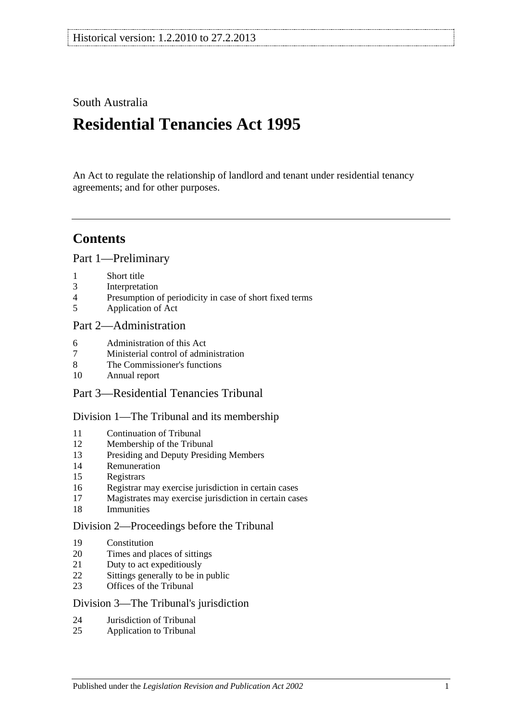## South Australia

# **Residential Tenancies Act 1995**

An Act to regulate the relationship of landlord and tenant under residential tenancy agreements; and for other purposes.

## **Contents**

[Part 1—Preliminary](#page-4-0)

- [Short title](#page-4-1)
- [Interpretation](#page-5-0)
- [Presumption of periodicity in case of short fixed terms](#page-7-0)
- [Application of Act](#page-7-1)

## [Part 2—Administration](#page-8-0)

- [Administration of this Act](#page-8-1)
- [Ministerial control of administration](#page-8-2)
- [The Commissioner's functions](#page-9-0)
- [Annual report](#page-9-1)
- Part [3—Residential Tenancies Tribunal](#page-9-2)

#### [Division 1—The Tribunal and its membership](#page-9-3)

- [Continuation of Tribunal](#page-9-4)
- [Membership of the Tribunal](#page-9-5)
- [Presiding and Deputy Presiding Members](#page-10-0)
- [Remuneration](#page-10-1)
- [Registrars](#page-10-2)
- [Registrar may exercise jurisdiction in certain cases](#page-10-3)
- [Magistrates may exercise jurisdiction in certain cases](#page-11-0)
- [Immunities](#page-11-1)

#### [Division 2—Proceedings before the Tribunal](#page-11-2)

- [Constitution](#page-11-3)
- [Times and places of sittings](#page-11-4)
- [Duty to act expeditiously](#page-11-5)
- [Sittings generally to be in public](#page-11-6)
- [Offices of the Tribunal](#page-11-7)

#### [Division 3—The Tribunal's jurisdiction](#page-12-0)

- [Jurisdiction of Tribunal](#page-12-1)
- [Application to Tribunal](#page-12-2)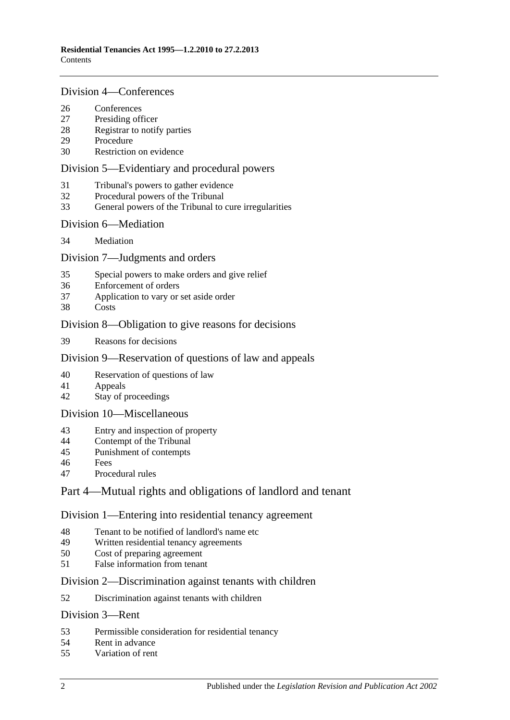#### [Division 4—Conferences](#page-13-0)

- [Conferences](#page-13-1)<br>27 Presiding off
- [Presiding officer](#page-13-2)
- [Registrar to notify parties](#page-13-3)
- [Procedure](#page-13-4)
- [Restriction on evidence](#page-13-5)

#### [Division 5—Evidentiary and procedural powers](#page-14-0)

- [Tribunal's powers to gather evidence](#page-14-1)
- [Procedural powers of the Tribunal](#page-14-2)
- [General powers of the Tribunal to cure irregularities](#page-15-0)

#### [Division 6—Mediation](#page-15-1)

[Mediation](#page-15-2)

#### [Division 7—Judgments and orders](#page-16-0)

- [Special powers to make orders and give relief](#page-16-1)
- [Enforcement of orders](#page-16-2)
- [Application to vary or set aside order](#page-16-3)
- [Costs](#page-16-4)

#### [Division 8—Obligation to give reasons for decisions](#page-17-0)

[Reasons for decisions](#page-17-1)

#### [Division 9—Reservation of questions of law and appeals](#page-17-2)

- [Reservation of questions of law](#page-17-3)
- [Appeals](#page-17-4)
- [Stay of proceedings](#page-17-5)

#### [Division 10—Miscellaneous](#page-17-6)

- [Entry and inspection of property](#page-17-7)
- [Contempt of the Tribunal](#page-18-0)
- [Punishment of contempts](#page-18-1)
- [Fees](#page-18-2)
- [Procedural rules](#page-18-3)

## [Part 4—Mutual rights and obligations of landlord and tenant](#page-19-0)

#### [Division 1—Entering into residential tenancy agreement](#page-19-1)

- [Tenant to be notified of landlord's name etc](#page-19-2)
- [Written residential tenancy agreements](#page-19-3)<br>50 Cost of preparing agreement
- [Cost of preparing agreement](#page-20-0)
- [False information from tenant](#page-20-1)

#### [Division 2—Discrimination against tenants with children](#page-20-2)

[Discrimination against tenants with children](#page-20-3)

#### [Division 3—Rent](#page-20-4)

- [Permissible consideration for residential tenancy](#page-20-5)
- [Rent in advance](#page-21-0)
- [Variation of rent](#page-21-1)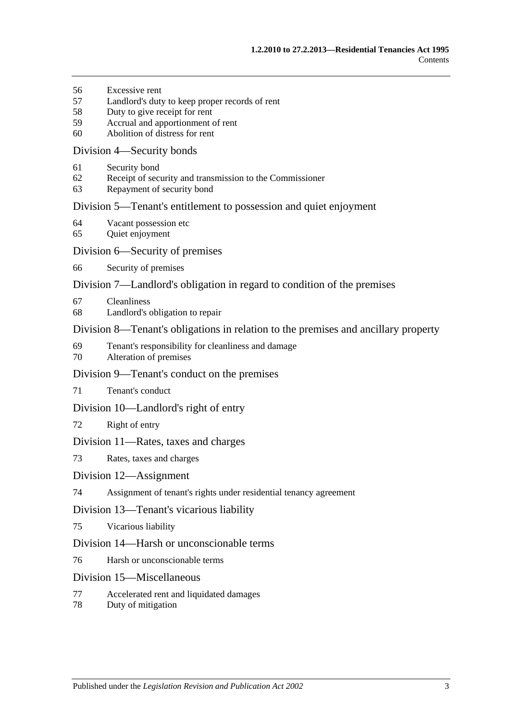- [Excessive rent](#page-22-0)
- [Landlord's duty to keep proper records of rent](#page-23-0)
- [Duty to give receipt for rent](#page-23-1)
- [Accrual and apportionment of rent](#page-23-2)
- [Abolition of distress for rent](#page-24-0)

#### [Division 4—Security bonds](#page-24-1)

- [Security bond](#page-24-2)
- [Receipt of security and transmission to the Commissioner](#page-24-3)
- [Repayment of security bond](#page-25-0)

#### [Division 5—Tenant's entitlement to possession and quiet enjoyment](#page-27-0)

- [Vacant possession etc](#page-27-1)
- [Quiet enjoyment](#page-27-2)

#### [Division 6—Security of premises](#page-28-0)

[Security of premises](#page-28-1)

#### [Division 7—Landlord's obligation in regard to condition of the premises](#page-28-2)

- [Cleanliness](#page-28-3)
- [Landlord's obligation to repair](#page-28-4)

#### [Division 8—Tenant's obligations in relation to the premises and ancillary property](#page-29-0)

- [Tenant's responsibility for cleanliness and damage](#page-29-1)
- [Alteration of premises](#page-30-0)

#### [Division 9—Tenant's conduct on the premises](#page-30-1)

[Tenant's conduct](#page-30-2)

#### [Division 10—Landlord's right of entry](#page-30-3)

[Right of entry](#page-30-4)

#### [Division 11—Rates, taxes and charges](#page-31-0)

[Rates, taxes and charges](#page-31-1)

#### [Division 12—Assignment](#page-31-2)

[Assignment of tenant's rights under residential tenancy agreement](#page-31-3)

#### [Division 13—Tenant's vicarious liability](#page-32-0)

[Vicarious liability](#page-32-1)

#### [Division 14—Harsh or unconscionable terms](#page-32-2)

[Harsh or unconscionable terms](#page-32-3)

#### [Division 15—Miscellaneous](#page-33-0)

- [Accelerated rent and liquidated damages](#page-33-1)
- [Duty of mitigation](#page-33-2)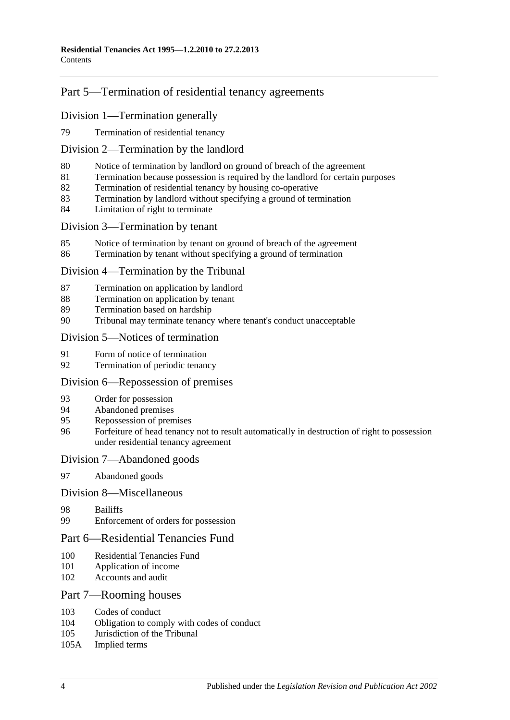## [Part 5—Termination of residential tenancy agreements](#page-33-3)

#### [Division 1—Termination generally](#page-33-4)

[Termination of residential tenancy](#page-33-5)

#### [Division 2—Termination by the landlord](#page-34-0)

- [Notice of termination by landlord on ground of breach of the agreement](#page-34-1)
- [Termination because possession is required by the landlord for certain purposes](#page-35-0)
- [Termination of residential tenancy by housing co-operative](#page-35-1)
- [Termination by landlord without specifying a ground of termination](#page-36-0)
- [Limitation of right to terminate](#page-36-1)

#### [Division 3—Termination by tenant](#page-36-2)

- [Notice of termination by tenant on ground of breach of the agreement](#page-36-3)
- [Termination by tenant without specifying a ground of termination](#page-37-0)

#### [Division 4—Termination by the Tribunal](#page-37-1)

- [Termination on application by landlord](#page-37-2)
- [Termination on application by tenant](#page-38-0)
- [Termination based on hardship](#page-38-1)
- [Tribunal may terminate tenancy where tenant's conduct unacceptable](#page-38-2)

#### [Division 5—Notices of termination](#page-39-0)

- [Form of notice of termination](#page-39-1)
- [Termination of periodic tenancy](#page-39-2)

#### [Division 6—Repossession of premises](#page-40-0)

- [Order for possession](#page-40-1)
- [Abandoned premises](#page-40-2)
- [Repossession of premises](#page-41-0)
- [Forfeiture of head tenancy not to result automatically in destruction of right to possession](#page-41-1)  [under residential tenancy agreement](#page-41-1)

#### [Division 7—Abandoned goods](#page-41-2)

[Abandoned goods](#page-41-3)

#### [Division 8—Miscellaneous](#page-43-0)

- [Bailiffs](#page-43-1)
- [Enforcement of orders for possession](#page-43-2)

#### [Part 6—Residential Tenancies Fund](#page-43-3)

- [Residential Tenancies Fund](#page-43-4)
- [Application of income](#page-44-0)
- [Accounts and audit](#page-44-1)

#### [Part 7—Rooming houses](#page-44-2)

- [Codes of conduct](#page-44-3)<br>104 Obligation to com
- [Obligation to comply with codes of conduct](#page-44-4)
- [Jurisdiction of the Tribunal](#page-45-0)
- 105A [Implied terms](#page-45-1)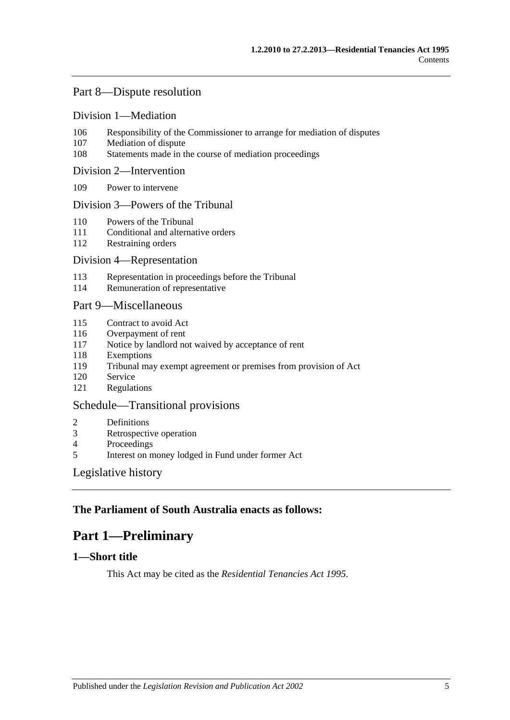## [Part 8—Dispute resolution](#page-45-2)

#### [Division 1—Mediation](#page-45-3)

- 106 [Responsibility of the Commissioner to arrange for mediation of disputes](#page-45-4)
- 107 [Mediation of dispute](#page-45-5)
- 108 [Statements made in the course of mediation proceedings](#page-45-6)

#### [Division 2—Intervention](#page-45-7)

109 [Power to intervene](#page-45-8)

#### [Division 3—Powers of the Tribunal](#page-45-9)

- 110 [Powers of the Tribunal](#page-45-10)
- 111 [Conditional and alternative orders](#page-46-0)
- 112 [Restraining orders](#page-46-1)

#### [Division 4—Representation](#page-47-0)

- 113 [Representation in proceedings before the Tribunal](#page-47-1)
- 114 [Remuneration of representative](#page-48-0)

#### [Part 9—Miscellaneous](#page-48-1)

- 115 [Contract to avoid Act](#page-48-2)
- 116 [Overpayment of rent](#page-48-3)
- 117 [Notice by landlord not waived by acceptance of rent](#page-48-4)
- 118 [Exemptions](#page-48-5)
- 119 [Tribunal may exempt agreement or premises from provision of Act](#page-49-0)
- 120 [Service](#page-49-1)
- 121 [Regulations](#page-49-2)

#### [Schedule—Transitional provisions](#page-49-3)

- 2 [Definitions](#page-49-4)
- 3 [Retrospective operation](#page-50-0)
- 4 [Proceedings](#page-50-1)<br>5 Interest on m
- 5 [Interest on money lodged in Fund under former Act](#page-50-2)

#### [Legislative history](#page-51-0)

## <span id="page-4-0"></span>**The Parliament of South Australia enacts as follows:**

## **Part 1—Preliminary**

## <span id="page-4-1"></span>**1—Short title**

This Act may be cited as the *Residential Tenancies Act 1995*.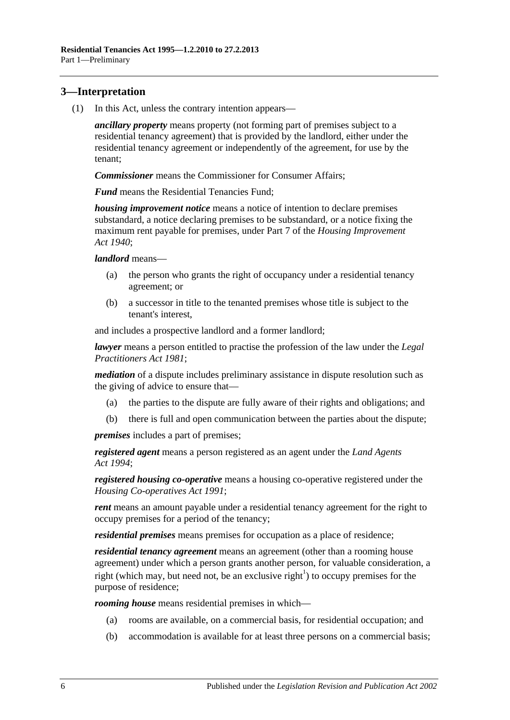## <span id="page-5-0"></span>**3—Interpretation**

(1) In this Act, unless the contrary intention appears—

*ancillary property* means property (not forming part of premises subject to a residential tenancy agreement) that is provided by the landlord, either under the residential tenancy agreement or independently of the agreement, for use by the tenant;

*Commissioner* means the Commissioner for Consumer Affairs;

*Fund* means the Residential Tenancies Fund;

*housing improvement notice* means a notice of intention to declare premises substandard, a notice declaring premises to be substandard, or a notice fixing the maximum rent payable for premises, under Part 7 of the *[Housing Improvement](http://www.legislation.sa.gov.au/index.aspx?action=legref&type=act&legtitle=Housing%20Improvement%20Act%201940)  Act [1940](http://www.legislation.sa.gov.au/index.aspx?action=legref&type=act&legtitle=Housing%20Improvement%20Act%201940)*;

*landlord* means—

- (a) the person who grants the right of occupancy under a residential tenancy agreement; or
- (b) a successor in title to the tenanted premises whose title is subject to the tenant's interest,

and includes a prospective landlord and a former landlord;

*lawyer* means a person entitled to practise the profession of the law under the *[Legal](http://www.legislation.sa.gov.au/index.aspx?action=legref&type=act&legtitle=Legal%20Practitioners%20Act%201981)  [Practitioners Act](http://www.legislation.sa.gov.au/index.aspx?action=legref&type=act&legtitle=Legal%20Practitioners%20Act%201981) 1981*;

*mediation* of a dispute includes preliminary assistance in dispute resolution such as the giving of advice to ensure that—

- (a) the parties to the dispute are fully aware of their rights and obligations; and
- (b) there is full and open communication between the parties about the dispute;

*premises* includes a part of premises;

*registered agent* means a person registered as an agent under the *[Land Agents](http://www.legislation.sa.gov.au/index.aspx?action=legref&type=act&legtitle=Land%20Agents%20Act%201994)  Act [1994](http://www.legislation.sa.gov.au/index.aspx?action=legref&type=act&legtitle=Land%20Agents%20Act%201994)*;

*registered housing co-operative* means a housing co-operative registered under the *[Housing Co-operatives Act](http://www.legislation.sa.gov.au/index.aspx?action=legref&type=act&legtitle=Housing%20Co-operatives%20Act%201991) 1991*;

*rent* means an amount payable under a residential tenancy agreement for the right to occupy premises for a period of the tenancy;

*residential premises* means premises for occupation as a place of residence;

*residential tenancy agreement* means an agreement (other than a rooming house agreement) under which a person grants another person, for valuable consideration, a right (which may, but need not, be an exclusive right<sup>1</sup>) to occupy premises for the purpose of residence;

*rooming house* means residential premises in which—

- (a) rooms are available, on a commercial basis, for residential occupation; and
- (b) accommodation is available for at least three persons on a commercial basis;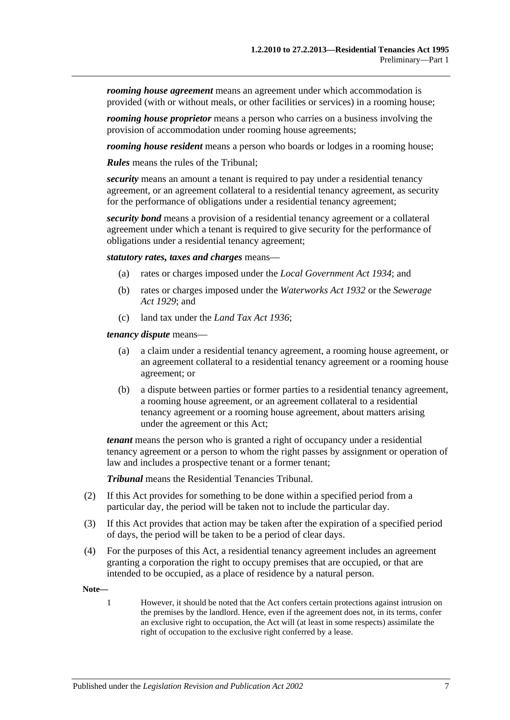*rooming house agreement* means an agreement under which accommodation is provided (with or without meals, or other facilities or services) in a rooming house;

*rooming house proprietor* means a person who carries on a business involving the provision of accommodation under rooming house agreements;

*rooming house resident* means a person who boards or lodges in a rooming house;

*Rules* means the rules of the Tribunal;

*security* means an amount a tenant is required to pay under a residential tenancy agreement, or an agreement collateral to a residential tenancy agreement, as security for the performance of obligations under a residential tenancy agreement;

*security bond* means a provision of a residential tenancy agreement or a collateral agreement under which a tenant is required to give security for the performance of obligations under a residential tenancy agreement;

*statutory rates, taxes and charges* means—

- (a) rates or charges imposed under the *[Local Government Act](http://www.legislation.sa.gov.au/index.aspx?action=legref&type=act&legtitle=Local%20Government%20Act%201934) 1934*; and
- (b) rates or charges imposed under the *[Waterworks Act](http://www.legislation.sa.gov.au/index.aspx?action=legref&type=act&legtitle=Waterworks%20Act%201932) 1932* or the *[Sewerage](http://www.legislation.sa.gov.au/index.aspx?action=legref&type=act&legtitle=Sewerage%20Act%201929)  Act [1929](http://www.legislation.sa.gov.au/index.aspx?action=legref&type=act&legtitle=Sewerage%20Act%201929)*; and
- (c) land tax under the *[Land Tax Act](http://www.legislation.sa.gov.au/index.aspx?action=legref&type=act&legtitle=Land%20Tax%20Act%201936) 1936*;

*tenancy dispute* means—

- (a) a claim under a residential tenancy agreement, a rooming house agreement, or an agreement collateral to a residential tenancy agreement or a rooming house agreement; or
- (b) a dispute between parties or former parties to a residential tenancy agreement, a rooming house agreement, or an agreement collateral to a residential tenancy agreement or a rooming house agreement, about matters arising under the agreement or this Act;

*tenant* means the person who is granted a right of occupancy under a residential tenancy agreement or a person to whom the right passes by assignment or operation of law and includes a prospective tenant or a former tenant;

*Tribunal* means the Residential Tenancies Tribunal.

- (2) If this Act provides for something to be done within a specified period from a particular day, the period will be taken not to include the particular day.
- (3) If this Act provides that action may be taken after the expiration of a specified period of days, the period will be taken to be a period of clear days.
- (4) For the purposes of this Act, a residential tenancy agreement includes an agreement granting a corporation the right to occupy premises that are occupied, or that are intended to be occupied, as a place of residence by a natural person.

**Note—**

1 However, it should be noted that the Act confers certain protections against intrusion on the premises by the landlord. Hence, even if the agreement does not, in its terms, confer an exclusive right to occupation, the Act will (at least in some respects) assimilate the right of occupation to the exclusive right conferred by a lease.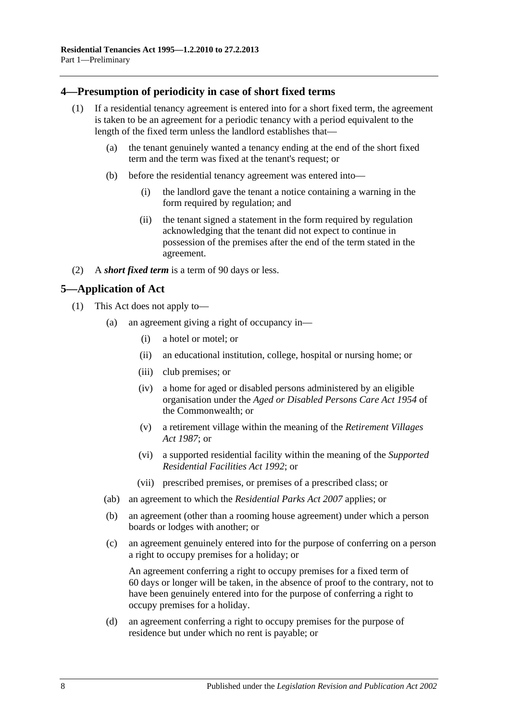## <span id="page-7-0"></span>**4—Presumption of periodicity in case of short fixed terms**

- (1) If a residential tenancy agreement is entered into for a short fixed term, the agreement is taken to be an agreement for a periodic tenancy with a period equivalent to the length of the fixed term unless the landlord establishes that—
	- (a) the tenant genuinely wanted a tenancy ending at the end of the short fixed term and the term was fixed at the tenant's request; or
	- (b) before the residential tenancy agreement was entered into—
		- (i) the landlord gave the tenant a notice containing a warning in the form required by regulation; and
		- (ii) the tenant signed a statement in the form required by regulation acknowledging that the tenant did not expect to continue in possession of the premises after the end of the term stated in the agreement.
- (2) A *short fixed term* is a term of 90 days or less.

## <span id="page-7-1"></span>**5—Application of Act**

- (1) This Act does not apply to—
	- (a) an agreement giving a right of occupancy in—
		- (i) a hotel or motel; or
		- (ii) an educational institution, college, hospital or nursing home; or
		- (iii) club premises; or
		- (iv) a home for aged or disabled persons administered by an eligible organisation under the *Aged or Disabled Persons Care Act 1954* of the Commonwealth; or
		- (v) a retirement village within the meaning of the *[Retirement Villages](http://www.legislation.sa.gov.au/index.aspx?action=legref&type=act&legtitle=Retirement%20Villages%20Act%201987)  Act [1987](http://www.legislation.sa.gov.au/index.aspx?action=legref&type=act&legtitle=Retirement%20Villages%20Act%201987)*; or
		- (vi) a supported residential facility within the meaning of the *[Supported](http://www.legislation.sa.gov.au/index.aspx?action=legref&type=act&legtitle=Supported%20Residential%20Facilities%20Act%201992)  [Residential Facilities Act](http://www.legislation.sa.gov.au/index.aspx?action=legref&type=act&legtitle=Supported%20Residential%20Facilities%20Act%201992) 1992*; or
		- (vii) prescribed premises, or premises of a prescribed class; or
	- (ab) an agreement to which the *[Residential Parks Act](http://www.legislation.sa.gov.au/index.aspx?action=legref&type=act&legtitle=Residential%20Parks%20Act%202007) 2007* applies; or
	- (b) an agreement (other than a rooming house agreement) under which a person boards or lodges with another; or
	- (c) an agreement genuinely entered into for the purpose of conferring on a person a right to occupy premises for a holiday; or

An agreement conferring a right to occupy premises for a fixed term of 60 days or longer will be taken, in the absence of proof to the contrary, not to have been genuinely entered into for the purpose of conferring a right to occupy premises for a holiday.

(d) an agreement conferring a right to occupy premises for the purpose of residence but under which no rent is payable; or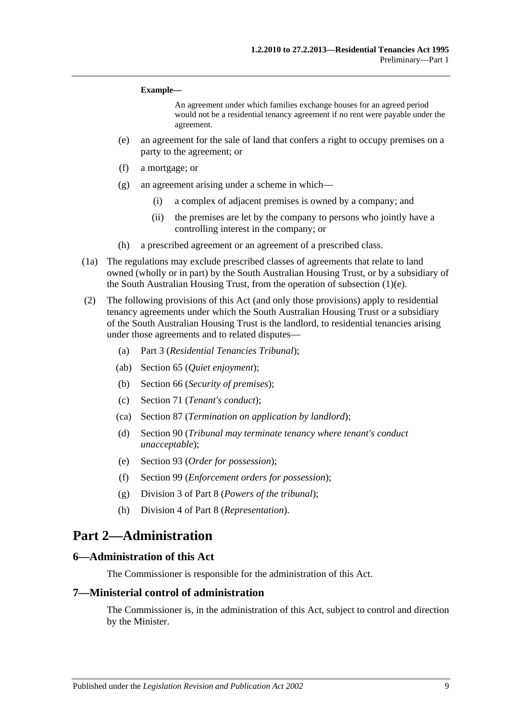#### **Example—**

An agreement under which families exchange houses for an agreed period would not be a residential tenancy agreement if no rent were payable under the agreement.

- <span id="page-8-3"></span>(e) an agreement for the sale of land that confers a right to occupy premises on a party to the agreement; or
- (f) a mortgage; or
- (g) an agreement arising under a scheme in which—
	- (i) a complex of adjacent premises is owned by a company; and
	- (ii) the premises are let by the company to persons who jointly have a controlling interest in the company; or
- (h) a prescribed agreement or an agreement of a prescribed class.
- (1a) The regulations may exclude prescribed classes of agreements that relate to land owned (wholly or in part) by the South Australian Housing Trust, or by a subsidiary of the South Australian Housing Trust, from the operation of [subsection](#page-8-3) (1)(e).
- (2) The following provisions of this Act (and only those provisions) apply to residential tenancy agreements under which the South Australian Housing Trust or a subsidiary of the South Australian Housing Trust is the landlord, to residential tenancies arising under those agreements and to related disputes—
	- (a) [Part 3](#page-9-2) (*Residential Tenancies Tribunal*);
	- (ab) Section 65 (*Quiet enjoyment*);
	- (b) [Section](#page-28-1) 66 (*Security of premises*);
	- (c) [Section](#page-30-2) 71 (*Tenant's conduct*);
	- (ca) Section 87 (*Termination on application by landlord*);
	- (d) [Section](#page-38-2) 90 (*Tribunal may terminate tenancy where tenant's conduct unacceptable*);
	- (e) [Section](#page-40-1) 93 (*Order for possession*);
	- (f) [Section](#page-43-2) 99 (*Enforcement orders for possession*);
	- (g) [Division 3](#page-45-9) of [Part 8](#page-45-2) (*Powers of the tribunal*);
	- (h) [Division 4](#page-47-0) of [Part 8](#page-45-2) (*Representation*).

## <span id="page-8-0"></span>**Part 2—Administration**

#### <span id="page-8-1"></span>**6—Administration of this Act**

The Commissioner is responsible for the administration of this Act.

#### <span id="page-8-2"></span>**7—Ministerial control of administration**

The Commissioner is, in the administration of this Act, subject to control and direction by the Minister.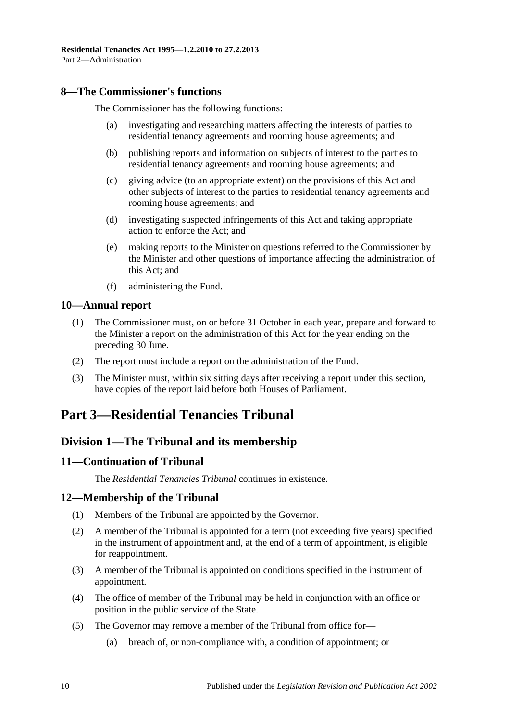## <span id="page-9-0"></span>**8—The Commissioner's functions**

The Commissioner has the following functions:

- (a) investigating and researching matters affecting the interests of parties to residential tenancy agreements and rooming house agreements; and
- (b) publishing reports and information on subjects of interest to the parties to residential tenancy agreements and rooming house agreements; and
- (c) giving advice (to an appropriate extent) on the provisions of this Act and other subjects of interest to the parties to residential tenancy agreements and rooming house agreements; and
- (d) investigating suspected infringements of this Act and taking appropriate action to enforce the Act; and
- (e) making reports to the Minister on questions referred to the Commissioner by the Minister and other questions of importance affecting the administration of this Act; and
- (f) administering the Fund.

#### <span id="page-9-1"></span>**10—Annual report**

- (1) The Commissioner must, on or before 31 October in each year, prepare and forward to the Minister a report on the administration of this Act for the year ending on the preceding 30 June.
- (2) The report must include a report on the administration of the Fund.
- (3) The Minister must, within six sitting days after receiving a report under this section, have copies of the report laid before both Houses of Parliament.

## <span id="page-9-2"></span>**Part 3—Residential Tenancies Tribunal**

## <span id="page-9-3"></span>**Division 1—The Tribunal and its membership**

#### <span id="page-9-4"></span>**11—Continuation of Tribunal**

The *Residential Tenancies Tribunal* continues in existence.

## <span id="page-9-5"></span>**12—Membership of the Tribunal**

- (1) Members of the Tribunal are appointed by the Governor.
- (2) A member of the Tribunal is appointed for a term (not exceeding five years) specified in the instrument of appointment and, at the end of a term of appointment, is eligible for reappointment.
- (3) A member of the Tribunal is appointed on conditions specified in the instrument of appointment.
- (4) The office of member of the Tribunal may be held in conjunction with an office or position in the public service of the State.
- <span id="page-9-6"></span>(5) The Governor may remove a member of the Tribunal from office for—
	- (a) breach of, or non-compliance with, a condition of appointment; or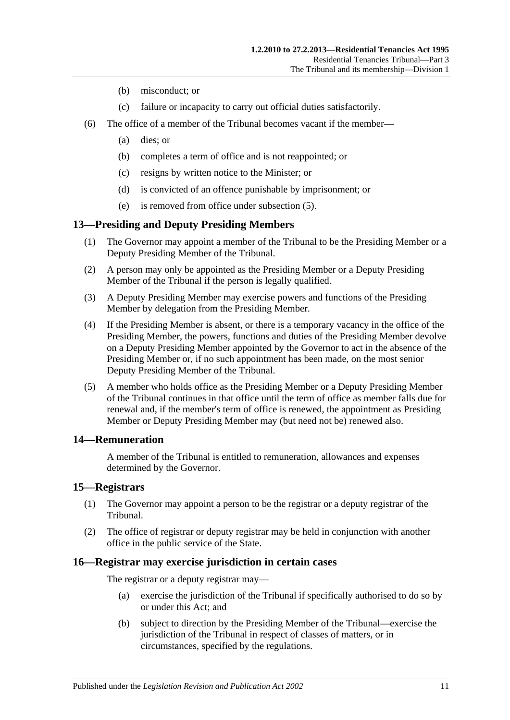- (b) misconduct; or
- (c) failure or incapacity to carry out official duties satisfactorily.
- (6) The office of a member of the Tribunal becomes vacant if the member—
	- (a) dies; or
	- (b) completes a term of office and is not reappointed; or
	- (c) resigns by written notice to the Minister; or
	- (d) is convicted of an offence punishable by imprisonment; or
	- (e) is removed from office under [subsection](#page-9-6) (5).

## <span id="page-10-0"></span>**13—Presiding and Deputy Presiding Members**

- (1) The Governor may appoint a member of the Tribunal to be the Presiding Member or a Deputy Presiding Member of the Tribunal.
- (2) A person may only be appointed as the Presiding Member or a Deputy Presiding Member of the Tribunal if the person is legally qualified.
- (3) A Deputy Presiding Member may exercise powers and functions of the Presiding Member by delegation from the Presiding Member.
- (4) If the Presiding Member is absent, or there is a temporary vacancy in the office of the Presiding Member, the powers, functions and duties of the Presiding Member devolve on a Deputy Presiding Member appointed by the Governor to act in the absence of the Presiding Member or, if no such appointment has been made, on the most senior Deputy Presiding Member of the Tribunal.
- (5) A member who holds office as the Presiding Member or a Deputy Presiding Member of the Tribunal continues in that office until the term of office as member falls due for renewal and, if the member's term of office is renewed, the appointment as Presiding Member or Deputy Presiding Member may (but need not be) renewed also.

## <span id="page-10-1"></span>**14—Remuneration**

A member of the Tribunal is entitled to remuneration, allowances and expenses determined by the Governor.

#### <span id="page-10-2"></span>**15—Registrars**

- (1) The Governor may appoint a person to be the registrar or a deputy registrar of the Tribunal.
- (2) The office of registrar or deputy registrar may be held in conjunction with another office in the public service of the State.

## <span id="page-10-3"></span>**16—Registrar may exercise jurisdiction in certain cases**

The registrar or a deputy registrar may—

- (a) exercise the jurisdiction of the Tribunal if specifically authorised to do so by or under this Act; and
- (b) subject to direction by the Presiding Member of the Tribunal—exercise the jurisdiction of the Tribunal in respect of classes of matters, or in circumstances, specified by the regulations.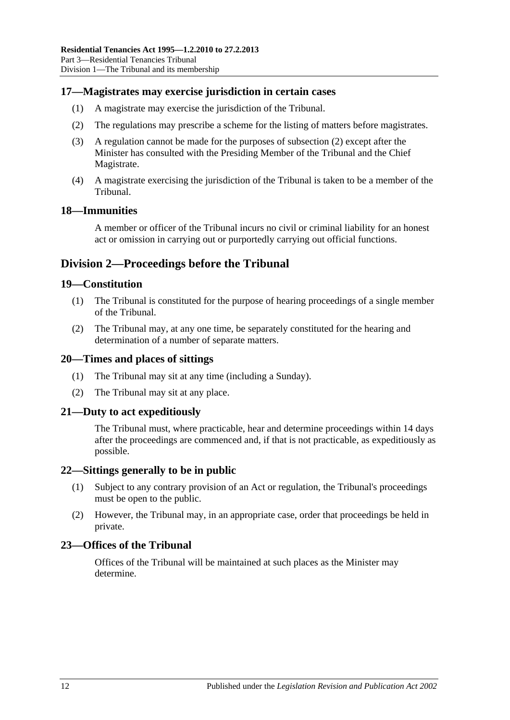#### <span id="page-11-0"></span>**17—Magistrates may exercise jurisdiction in certain cases**

- (1) A magistrate may exercise the jurisdiction of the Tribunal.
- <span id="page-11-8"></span>(2) The regulations may prescribe a scheme for the listing of matters before magistrates.
- (3) A regulation cannot be made for the purposes of [subsection](#page-11-8) (2) except after the Minister has consulted with the Presiding Member of the Tribunal and the Chief Magistrate.
- (4) A magistrate exercising the jurisdiction of the Tribunal is taken to be a member of the Tribunal.

#### <span id="page-11-1"></span>**18—Immunities**

A member or officer of the Tribunal incurs no civil or criminal liability for an honest act or omission in carrying out or purportedly carrying out official functions.

## <span id="page-11-2"></span>**Division 2—Proceedings before the Tribunal**

#### <span id="page-11-3"></span>**19—Constitution**

- (1) The Tribunal is constituted for the purpose of hearing proceedings of a single member of the Tribunal.
- (2) The Tribunal may, at any one time, be separately constituted for the hearing and determination of a number of separate matters.

#### <span id="page-11-4"></span>**20—Times and places of sittings**

- (1) The Tribunal may sit at any time (including a Sunday).
- (2) The Tribunal may sit at any place.

#### <span id="page-11-5"></span>**21—Duty to act expeditiously**

The Tribunal must, where practicable, hear and determine proceedings within 14 days after the proceedings are commenced and, if that is not practicable, as expeditiously as possible.

#### <span id="page-11-6"></span>**22—Sittings generally to be in public**

- (1) Subject to any contrary provision of an Act or regulation, the Tribunal's proceedings must be open to the public.
- (2) However, the Tribunal may, in an appropriate case, order that proceedings be held in private.

#### <span id="page-11-7"></span>**23—Offices of the Tribunal**

Offices of the Tribunal will be maintained at such places as the Minister may determine.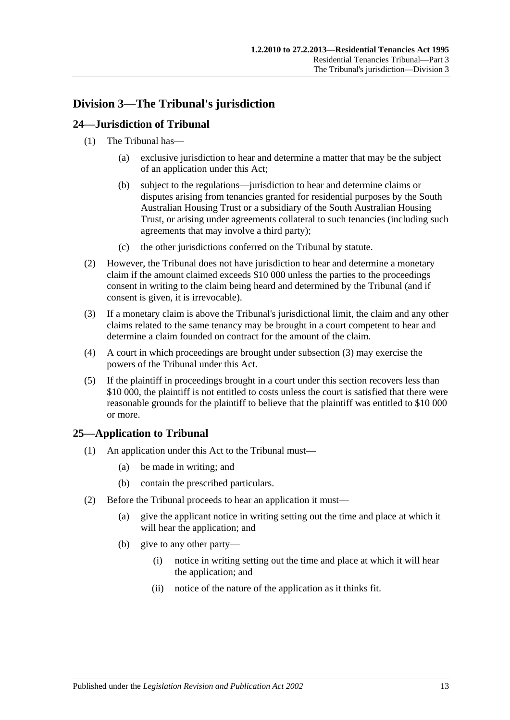## <span id="page-12-0"></span>**Division 3—The Tribunal's jurisdiction**

## <span id="page-12-1"></span>**24—Jurisdiction of Tribunal**

- (1) The Tribunal has—
	- (a) exclusive jurisdiction to hear and determine a matter that may be the subject of an application under this Act;
	- (b) subject to the regulations—jurisdiction to hear and determine claims or disputes arising from tenancies granted for residential purposes by the South Australian Housing Trust or a subsidiary of the South Australian Housing Trust, or arising under agreements collateral to such tenancies (including such agreements that may involve a third party);
	- (c) the other jurisdictions conferred on the Tribunal by statute.
- (2) However, the Tribunal does not have jurisdiction to hear and determine a monetary claim if the amount claimed exceeds \$10 000 unless the parties to the proceedings consent in writing to the claim being heard and determined by the Tribunal (and if consent is given, it is irrevocable).
- <span id="page-12-3"></span>(3) If a monetary claim is above the Tribunal's jurisdictional limit, the claim and any other claims related to the same tenancy may be brought in a court competent to hear and determine a claim founded on contract for the amount of the claim.
- (4) A court in which proceedings are brought under [subsection](#page-12-3) (3) may exercise the powers of the Tribunal under this Act.
- (5) If the plaintiff in proceedings brought in a court under this section recovers less than \$10 000, the plaintiff is not entitled to costs unless the court is satisfied that there were reasonable grounds for the plaintiff to believe that the plaintiff was entitled to \$10 000 or more.

## <span id="page-12-2"></span>**25—Application to Tribunal**

- (1) An application under this Act to the Tribunal must—
	- (a) be made in writing; and
	- (b) contain the prescribed particulars.
- (2) Before the Tribunal proceeds to hear an application it must—
	- (a) give the applicant notice in writing setting out the time and place at which it will hear the application; and
	- (b) give to any other party—
		- (i) notice in writing setting out the time and place at which it will hear the application; and
		- (ii) notice of the nature of the application as it thinks fit.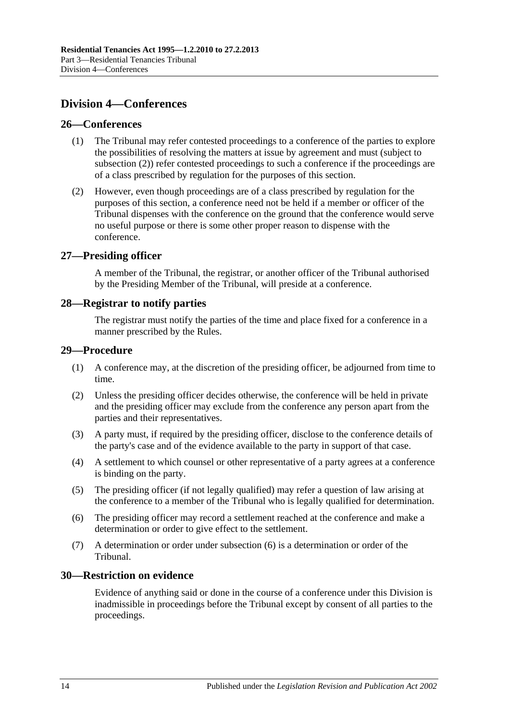## <span id="page-13-0"></span>**Division 4—Conferences**

#### <span id="page-13-1"></span>**26—Conferences**

- (1) The Tribunal may refer contested proceedings to a conference of the parties to explore the possibilities of resolving the matters at issue by agreement and must (subject to [subsection](#page-13-6) (2)) refer contested proceedings to such a conference if the proceedings are of a class prescribed by regulation for the purposes of this section.
- <span id="page-13-6"></span>(2) However, even though proceedings are of a class prescribed by regulation for the purposes of this section, a conference need not be held if a member or officer of the Tribunal dispenses with the conference on the ground that the conference would serve no useful purpose or there is some other proper reason to dispense with the conference.

#### <span id="page-13-2"></span>**27—Presiding officer**

A member of the Tribunal, the registrar, or another officer of the Tribunal authorised by the Presiding Member of the Tribunal, will preside at a conference.

#### <span id="page-13-3"></span>**28—Registrar to notify parties**

The registrar must notify the parties of the time and place fixed for a conference in a manner prescribed by the Rules.

#### <span id="page-13-4"></span>**29—Procedure**

- (1) A conference may, at the discretion of the presiding officer, be adjourned from time to time.
- (2) Unless the presiding officer decides otherwise, the conference will be held in private and the presiding officer may exclude from the conference any person apart from the parties and their representatives.
- (3) A party must, if required by the presiding officer, disclose to the conference details of the party's case and of the evidence available to the party in support of that case.
- (4) A settlement to which counsel or other representative of a party agrees at a conference is binding on the party.
- (5) The presiding officer (if not legally qualified) may refer a question of law arising at the conference to a member of the Tribunal who is legally qualified for determination.
- <span id="page-13-7"></span>(6) The presiding officer may record a settlement reached at the conference and make a determination or order to give effect to the settlement.
- (7) A determination or order under [subsection](#page-13-7) (6) is a determination or order of the Tribunal.

### <span id="page-13-5"></span>**30—Restriction on evidence**

Evidence of anything said or done in the course of a conference under this Division is inadmissible in proceedings before the Tribunal except by consent of all parties to the proceedings.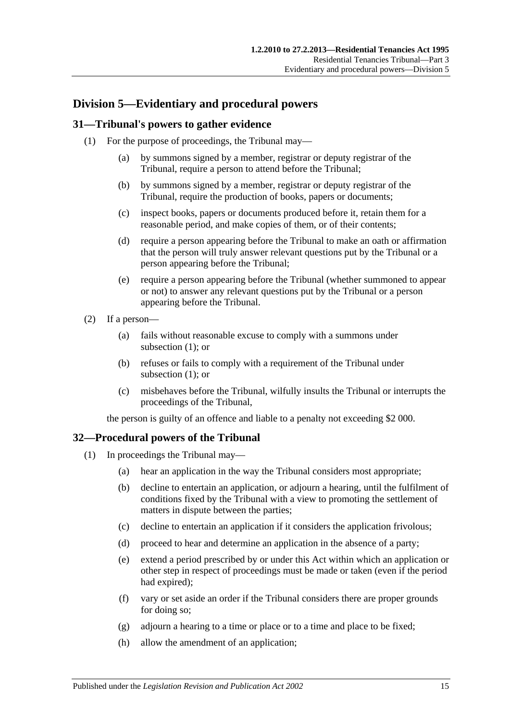## <span id="page-14-0"></span>**Division 5—Evidentiary and procedural powers**

## <span id="page-14-3"></span><span id="page-14-1"></span>**31—Tribunal's powers to gather evidence**

- (1) For the purpose of proceedings, the Tribunal may—
	- (a) by summons signed by a member, registrar or deputy registrar of the Tribunal, require a person to attend before the Tribunal;
	- (b) by summons signed by a member, registrar or deputy registrar of the Tribunal, require the production of books, papers or documents;
	- (c) inspect books, papers or documents produced before it, retain them for a reasonable period, and make copies of them, or of their contents;
	- (d) require a person appearing before the Tribunal to make an oath or affirmation that the person will truly answer relevant questions put by the Tribunal or a person appearing before the Tribunal;
	- (e) require a person appearing before the Tribunal (whether summoned to appear or not) to answer any relevant questions put by the Tribunal or a person appearing before the Tribunal.
- (2) If a person—
	- (a) fails without reasonable excuse to comply with a summons under [subsection](#page-14-3) (1); or
	- (b) refuses or fails to comply with a requirement of the Tribunal under [subsection](#page-14-3)  $(1)$ ; or
	- (c) misbehaves before the Tribunal, wilfully insults the Tribunal or interrupts the proceedings of the Tribunal,

the person is guilty of an offence and liable to a penalty not exceeding \$2 000.

## <span id="page-14-2"></span>**32—Procedural powers of the Tribunal**

- (1) In proceedings the Tribunal may—
	- (a) hear an application in the way the Tribunal considers most appropriate;
	- (b) decline to entertain an application, or adjourn a hearing, until the fulfilment of conditions fixed by the Tribunal with a view to promoting the settlement of matters in dispute between the parties;
	- (c) decline to entertain an application if it considers the application frivolous;
	- (d) proceed to hear and determine an application in the absence of a party;
	- (e) extend a period prescribed by or under this Act within which an application or other step in respect of proceedings must be made or taken (even if the period had expired);
	- (f) vary or set aside an order if the Tribunal considers there are proper grounds for doing so;
	- (g) adjourn a hearing to a time or place or to a time and place to be fixed;
	- (h) allow the amendment of an application;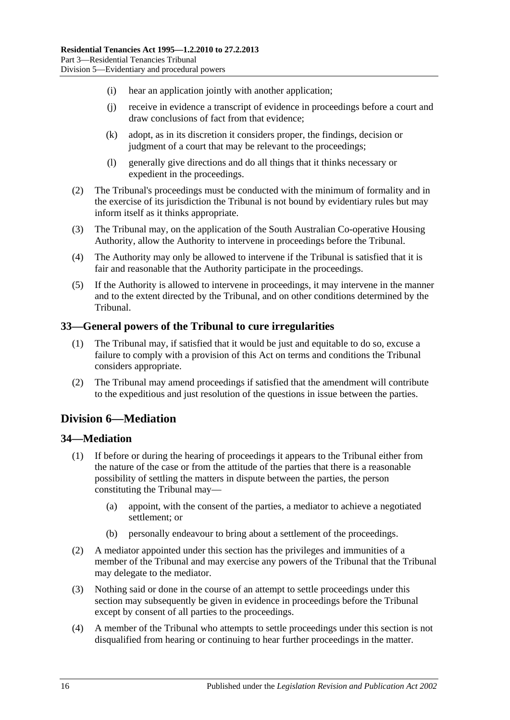- (i) hear an application jointly with another application;
- (j) receive in evidence a transcript of evidence in proceedings before a court and draw conclusions of fact from that evidence;
- (k) adopt, as in its discretion it considers proper, the findings, decision or judgment of a court that may be relevant to the proceedings;
- (l) generally give directions and do all things that it thinks necessary or expedient in the proceedings.
- (2) The Tribunal's proceedings must be conducted with the minimum of formality and in the exercise of its jurisdiction the Tribunal is not bound by evidentiary rules but may inform itself as it thinks appropriate.
- (3) The Tribunal may, on the application of the South Australian Co-operative Housing Authority, allow the Authority to intervene in proceedings before the Tribunal.
- (4) The Authority may only be allowed to intervene if the Tribunal is satisfied that it is fair and reasonable that the Authority participate in the proceedings.
- (5) If the Authority is allowed to intervene in proceedings, it may intervene in the manner and to the extent directed by the Tribunal, and on other conditions determined by the Tribunal.

#### <span id="page-15-0"></span>**33—General powers of the Tribunal to cure irregularities**

- (1) The Tribunal may, if satisfied that it would be just and equitable to do so, excuse a failure to comply with a provision of this Act on terms and conditions the Tribunal considers appropriate.
- (2) The Tribunal may amend proceedings if satisfied that the amendment will contribute to the expeditious and just resolution of the questions in issue between the parties.

## <span id="page-15-1"></span>**Division 6—Mediation**

## <span id="page-15-2"></span>**34—Mediation**

- (1) If before or during the hearing of proceedings it appears to the Tribunal either from the nature of the case or from the attitude of the parties that there is a reasonable possibility of settling the matters in dispute between the parties, the person constituting the Tribunal may—
	- (a) appoint, with the consent of the parties, a mediator to achieve a negotiated settlement; or
	- (b) personally endeavour to bring about a settlement of the proceedings.
- (2) A mediator appointed under this section has the privileges and immunities of a member of the Tribunal and may exercise any powers of the Tribunal that the Tribunal may delegate to the mediator.
- (3) Nothing said or done in the course of an attempt to settle proceedings under this section may subsequently be given in evidence in proceedings before the Tribunal except by consent of all parties to the proceedings.
- (4) A member of the Tribunal who attempts to settle proceedings under this section is not disqualified from hearing or continuing to hear further proceedings in the matter.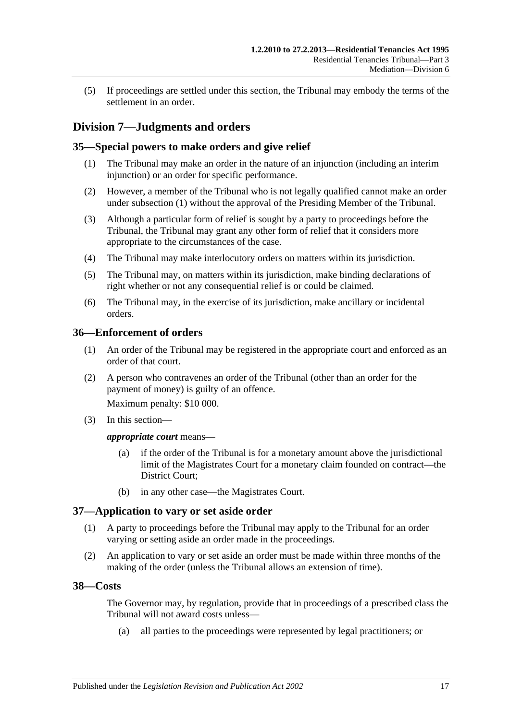(5) If proceedings are settled under this section, the Tribunal may embody the terms of the settlement in an order.

## <span id="page-16-0"></span>**Division 7—Judgments and orders**

## <span id="page-16-5"></span><span id="page-16-1"></span>**35—Special powers to make orders and give relief**

- (1) The Tribunal may make an order in the nature of an injunction (including an interim injunction) or an order for specific performance.
- (2) However, a member of the Tribunal who is not legally qualified cannot make an order under [subsection](#page-16-5) (1) without the approval of the Presiding Member of the Tribunal.
- (3) Although a particular form of relief is sought by a party to proceedings before the Tribunal, the Tribunal may grant any other form of relief that it considers more appropriate to the circumstances of the case.
- (4) The Tribunal may make interlocutory orders on matters within its jurisdiction.
- (5) The Tribunal may, on matters within its jurisdiction, make binding declarations of right whether or not any consequential relief is or could be claimed.
- (6) The Tribunal may, in the exercise of its jurisdiction, make ancillary or incidental orders.

#### <span id="page-16-2"></span>**36—Enforcement of orders**

- (1) An order of the Tribunal may be registered in the appropriate court and enforced as an order of that court.
- (2) A person who contravenes an order of the Tribunal (other than an order for the payment of money) is guilty of an offence.

Maximum penalty: \$10 000.

(3) In this section—

#### *appropriate court* means—

- (a) if the order of the Tribunal is for a monetary amount above the jurisdictional limit of the Magistrates Court for a monetary claim founded on contract—the District Court;
- (b) in any other case—the Magistrates Court.

## <span id="page-16-3"></span>**37—Application to vary or set aside order**

- (1) A party to proceedings before the Tribunal may apply to the Tribunal for an order varying or setting aside an order made in the proceedings.
- (2) An application to vary or set aside an order must be made within three months of the making of the order (unless the Tribunal allows an extension of time).

## <span id="page-16-4"></span>**38—Costs**

The Governor may, by regulation, provide that in proceedings of a prescribed class the Tribunal will not award costs unless—

(a) all parties to the proceedings were represented by legal practitioners; or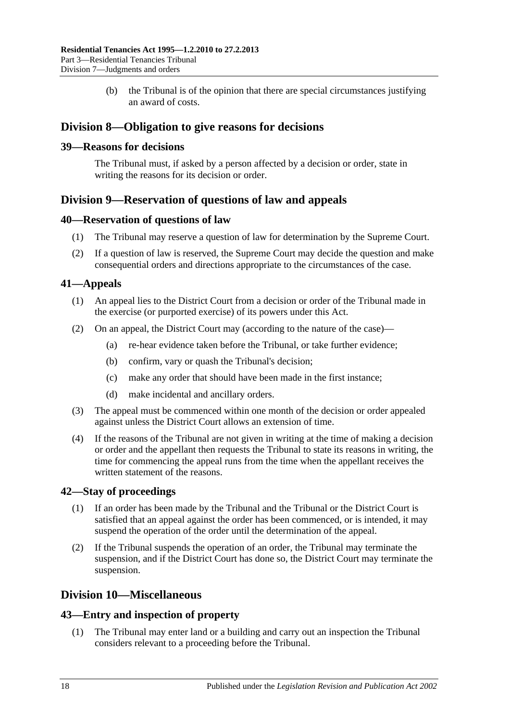(b) the Tribunal is of the opinion that there are special circumstances justifying an award of costs.

## <span id="page-17-0"></span>**Division 8—Obligation to give reasons for decisions**

## <span id="page-17-1"></span>**39—Reasons for decisions**

The Tribunal must, if asked by a person affected by a decision or order, state in writing the reasons for its decision or order.

## <span id="page-17-2"></span>**Division 9—Reservation of questions of law and appeals**

## <span id="page-17-3"></span>**40—Reservation of questions of law**

- (1) The Tribunal may reserve a question of law for determination by the Supreme Court.
- (2) If a question of law is reserved, the Supreme Court may decide the question and make consequential orders and directions appropriate to the circumstances of the case.

## <span id="page-17-4"></span>**41—Appeals**

- (1) An appeal lies to the District Court from a decision or order of the Tribunal made in the exercise (or purported exercise) of its powers under this Act.
- (2) On an appeal, the District Court may (according to the nature of the case)—
	- (a) re-hear evidence taken before the Tribunal, or take further evidence;
	- (b) confirm, vary or quash the Tribunal's decision;
	- (c) make any order that should have been made in the first instance;
	- (d) make incidental and ancillary orders.
- (3) The appeal must be commenced within one month of the decision or order appealed against unless the District Court allows an extension of time.
- (4) If the reasons of the Tribunal are not given in writing at the time of making a decision or order and the appellant then requests the Tribunal to state its reasons in writing, the time for commencing the appeal runs from the time when the appellant receives the written statement of the reasons.

## <span id="page-17-5"></span>**42—Stay of proceedings**

- (1) If an order has been made by the Tribunal and the Tribunal or the District Court is satisfied that an appeal against the order has been commenced, or is intended, it may suspend the operation of the order until the determination of the appeal.
- (2) If the Tribunal suspends the operation of an order, the Tribunal may terminate the suspension, and if the District Court has done so, the District Court may terminate the suspension.

## <span id="page-17-6"></span>**Division 10—Miscellaneous**

#### <span id="page-17-7"></span>**43—Entry and inspection of property**

(1) The Tribunal may enter land or a building and carry out an inspection the Tribunal considers relevant to a proceeding before the Tribunal.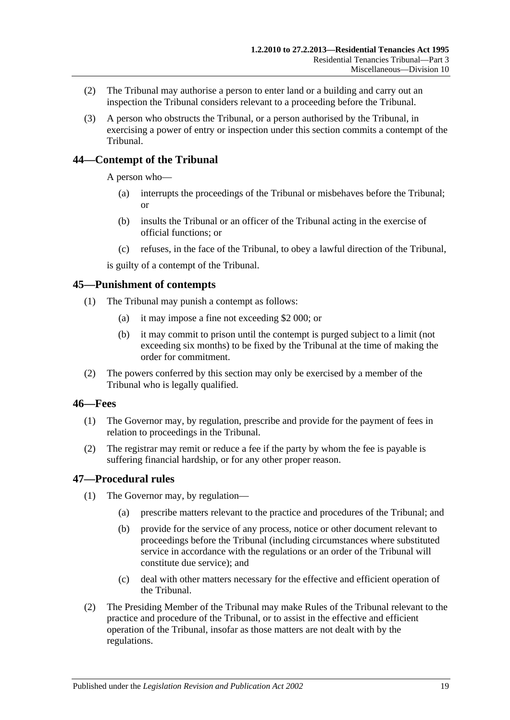- (2) The Tribunal may authorise a person to enter land or a building and carry out an inspection the Tribunal considers relevant to a proceeding before the Tribunal.
- (3) A person who obstructs the Tribunal, or a person authorised by the Tribunal, in exercising a power of entry or inspection under this section commits a contempt of the Tribunal.

## <span id="page-18-0"></span>**44—Contempt of the Tribunal**

A person who—

- (a) interrupts the proceedings of the Tribunal or misbehaves before the Tribunal; or
- (b) insults the Tribunal or an officer of the Tribunal acting in the exercise of official functions; or
- (c) refuses, in the face of the Tribunal, to obey a lawful direction of the Tribunal,

is guilty of a contempt of the Tribunal.

#### <span id="page-18-1"></span>**45—Punishment of contempts**

- (1) The Tribunal may punish a contempt as follows:
	- (a) it may impose a fine not exceeding \$2 000; or
	- (b) it may commit to prison until the contempt is purged subject to a limit (not exceeding six months) to be fixed by the Tribunal at the time of making the order for commitment.
- (2) The powers conferred by this section may only be exercised by a member of the Tribunal who is legally qualified.

#### <span id="page-18-2"></span>**46—Fees**

- (1) The Governor may, by regulation, prescribe and provide for the payment of fees in relation to proceedings in the Tribunal.
- (2) The registrar may remit or reduce a fee if the party by whom the fee is payable is suffering financial hardship, or for any other proper reason.

#### <span id="page-18-3"></span>**47—Procedural rules**

- (1) The Governor may, by regulation—
	- (a) prescribe matters relevant to the practice and procedures of the Tribunal; and
	- (b) provide for the service of any process, notice or other document relevant to proceedings before the Tribunal (including circumstances where substituted service in accordance with the regulations or an order of the Tribunal will constitute due service); and
	- (c) deal with other matters necessary for the effective and efficient operation of the Tribunal.
- (2) The Presiding Member of the Tribunal may make Rules of the Tribunal relevant to the practice and procedure of the Tribunal, or to assist in the effective and efficient operation of the Tribunal, insofar as those matters are not dealt with by the regulations.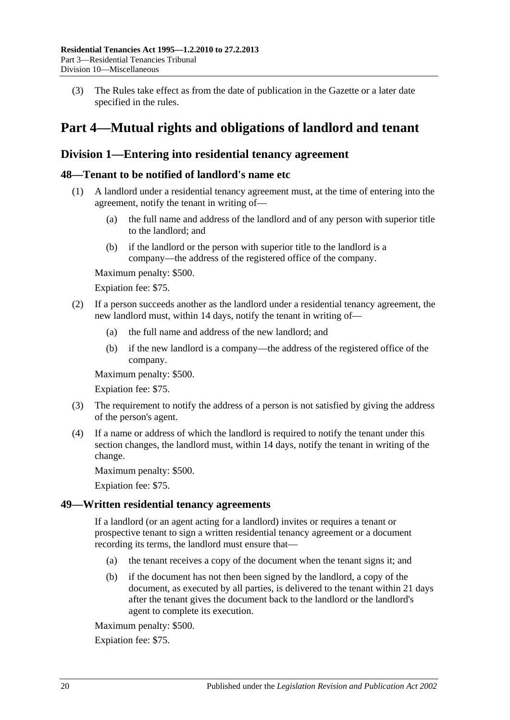(3) The Rules take effect as from the date of publication in the Gazette or a later date specified in the rules.

## <span id="page-19-0"></span>**Part 4—Mutual rights and obligations of landlord and tenant**

## <span id="page-19-1"></span>**Division 1—Entering into residential tenancy agreement**

## <span id="page-19-2"></span>**48—Tenant to be notified of landlord's name etc**

- (1) A landlord under a residential tenancy agreement must, at the time of entering into the agreement, notify the tenant in writing of—
	- (a) the full name and address of the landlord and of any person with superior title to the landlord; and
	- (b) if the landlord or the person with superior title to the landlord is a company—the address of the registered office of the company.

Maximum penalty: \$500.

Expiation fee: \$75.

- (2) If a person succeeds another as the landlord under a residential tenancy agreement, the new landlord must, within 14 days, notify the tenant in writing of—
	- (a) the full name and address of the new landlord; and
	- (b) if the new landlord is a company—the address of the registered office of the company.

Maximum penalty: \$500.

Expiation fee: \$75.

- (3) The requirement to notify the address of a person is not satisfied by giving the address of the person's agent.
- (4) If a name or address of which the landlord is required to notify the tenant under this section changes, the landlord must, within 14 days, notify the tenant in writing of the change.

Maximum penalty: \$500.

Expiation fee: \$75.

## <span id="page-19-3"></span>**49—Written residential tenancy agreements**

If a landlord (or an agent acting for a landlord) invites or requires a tenant or prospective tenant to sign a written residential tenancy agreement or a document recording its terms, the landlord must ensure that—

- (a) the tenant receives a copy of the document when the tenant signs it; and
- (b) if the document has not then been signed by the landlord, a copy of the document, as executed by all parties, is delivered to the tenant within 21 days after the tenant gives the document back to the landlord or the landlord's agent to complete its execution.

Maximum penalty: \$500.

Expiation fee: \$75.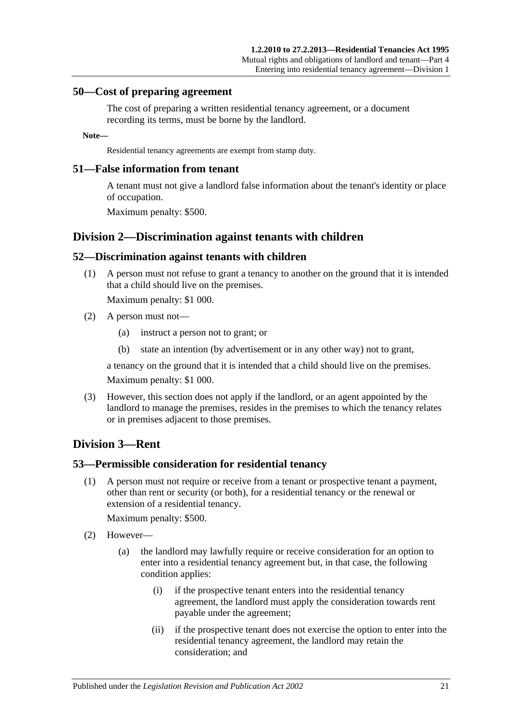#### <span id="page-20-0"></span>**50—Cost of preparing agreement**

The cost of preparing a written residential tenancy agreement, or a document recording its terms, must be borne by the landlord.

#### **Note—**

Residential tenancy agreements are exempt from stamp duty.

#### <span id="page-20-1"></span>**51—False information from tenant**

A tenant must not give a landlord false information about the tenant's identity or place of occupation.

Maximum penalty: \$500.

## <span id="page-20-2"></span>**Division 2—Discrimination against tenants with children**

#### <span id="page-20-3"></span>**52—Discrimination against tenants with children**

(1) A person must not refuse to grant a tenancy to another on the ground that it is intended that a child should live on the premises.

Maximum penalty: \$1 000.

- (2) A person must not—
	- (a) instruct a person not to grant; or
	- (b) state an intention (by advertisement or in any other way) not to grant,

a tenancy on the ground that it is intended that a child should live on the premises.

Maximum penalty: \$1 000.

(3) However, this section does not apply if the landlord, or an agent appointed by the landlord to manage the premises, resides in the premises to which the tenancy relates or in premises adjacent to those premises.

## <span id="page-20-4"></span>**Division 3—Rent**

#### <span id="page-20-5"></span>**53—Permissible consideration for residential tenancy**

(1) A person must not require or receive from a tenant or prospective tenant a payment, other than rent or security (or both), for a residential tenancy or the renewal or extension of a residential tenancy.

Maximum penalty: \$500.

- (2) However—
	- (a) the landlord may lawfully require or receive consideration for an option to enter into a residential tenancy agreement but, in that case, the following condition applies:
		- (i) if the prospective tenant enters into the residential tenancy agreement, the landlord must apply the consideration towards rent payable under the agreement;
		- (ii) if the prospective tenant does not exercise the option to enter into the residential tenancy agreement, the landlord may retain the consideration; and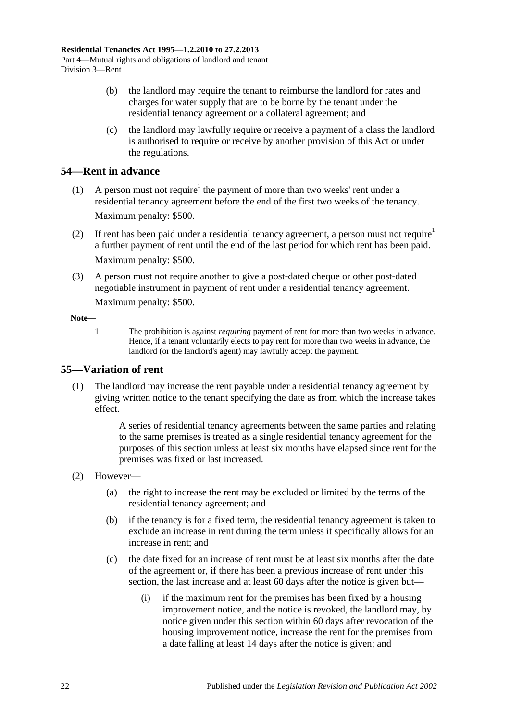- (b) the landlord may require the tenant to reimburse the landlord for rates and charges for water supply that are to be borne by the tenant under the residential tenancy agreement or a collateral agreement; and
- (c) the landlord may lawfully require or receive a payment of a class the landlord is authorised to require or receive by another provision of this Act or under the regulations.

## <span id="page-21-0"></span>**54—Rent in advance**

- (1) A person must not require<sup>1</sup> the payment of more than two weeks' rent under a residential tenancy agreement before the end of the first two weeks of the tenancy. Maximum penalty: \$500.
- (2) If rent has been paid under a residential tenancy agreement, a person must not require<sup>1</sup> a further payment of rent until the end of the last period for which rent has been paid. Maximum penalty: \$500.
- (3) A person must not require another to give a post-dated cheque or other post-dated negotiable instrument in payment of rent under a residential tenancy agreement. Maximum penalty: \$500.

#### **Note—**

1 The prohibition is against *requiring* payment of rent for more than two weeks in advance. Hence, if a tenant voluntarily elects to pay rent for more than two weeks in advance, the landlord (or the landlord's agent) may lawfully accept the payment.

## <span id="page-21-1"></span>**55—Variation of rent**

(1) The landlord may increase the rent payable under a residential tenancy agreement by giving written notice to the tenant specifying the date as from which the increase takes effect.

> A series of residential tenancy agreements between the same parties and relating to the same premises is treated as a single residential tenancy agreement for the purposes of this section unless at least six months have elapsed since rent for the premises was fixed or last increased.

- (2) However—
	- (a) the right to increase the rent may be excluded or limited by the terms of the residential tenancy agreement; and
	- (b) if the tenancy is for a fixed term, the residential tenancy agreement is taken to exclude an increase in rent during the term unless it specifically allows for an increase in rent; and
	- (c) the date fixed for an increase of rent must be at least six months after the date of the agreement or, if there has been a previous increase of rent under this section, the last increase and at least 60 days after the notice is given but—
		- (i) if the maximum rent for the premises has been fixed by a housing improvement notice, and the notice is revoked, the landlord may, by notice given under this section within 60 days after revocation of the housing improvement notice, increase the rent for the premises from a date falling at least 14 days after the notice is given; and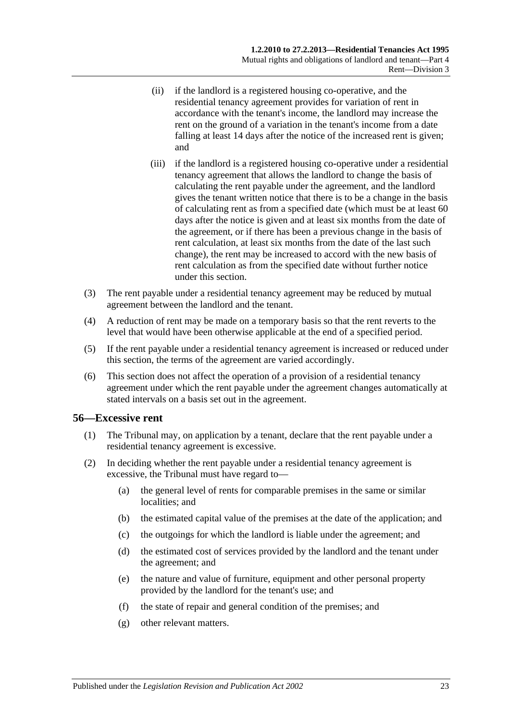- (ii) if the landlord is a registered housing co-operative, and the residential tenancy agreement provides for variation of rent in accordance with the tenant's income, the landlord may increase the rent on the ground of a variation in the tenant's income from a date falling at least 14 days after the notice of the increased rent is given; and
- (iii) if the landlord is a registered housing co-operative under a residential tenancy agreement that allows the landlord to change the basis of calculating the rent payable under the agreement, and the landlord gives the tenant written notice that there is to be a change in the basis of calculating rent as from a specified date (which must be at least 60 days after the notice is given and at least six months from the date of the agreement, or if there has been a previous change in the basis of rent calculation, at least six months from the date of the last such change), the rent may be increased to accord with the new basis of rent calculation as from the specified date without further notice under this section.
- (3) The rent payable under a residential tenancy agreement may be reduced by mutual agreement between the landlord and the tenant.
- (4) A reduction of rent may be made on a temporary basis so that the rent reverts to the level that would have been otherwise applicable at the end of a specified period.
- (5) If the rent payable under a residential tenancy agreement is increased or reduced under this section, the terms of the agreement are varied accordingly.
- (6) This section does not affect the operation of a provision of a residential tenancy agreement under which the rent payable under the agreement changes automatically at stated intervals on a basis set out in the agreement.

## <span id="page-22-0"></span>**56—Excessive rent**

- (1) The Tribunal may, on application by a tenant, declare that the rent payable under a residential tenancy agreement is excessive.
- (2) In deciding whether the rent payable under a residential tenancy agreement is excessive, the Tribunal must have regard to—
	- (a) the general level of rents for comparable premises in the same or similar localities; and
	- (b) the estimated capital value of the premises at the date of the application; and
	- (c) the outgoings for which the landlord is liable under the agreement; and
	- (d) the estimated cost of services provided by the landlord and the tenant under the agreement; and
	- (e) the nature and value of furniture, equipment and other personal property provided by the landlord for the tenant's use; and
	- (f) the state of repair and general condition of the premises; and
	- (g) other relevant matters.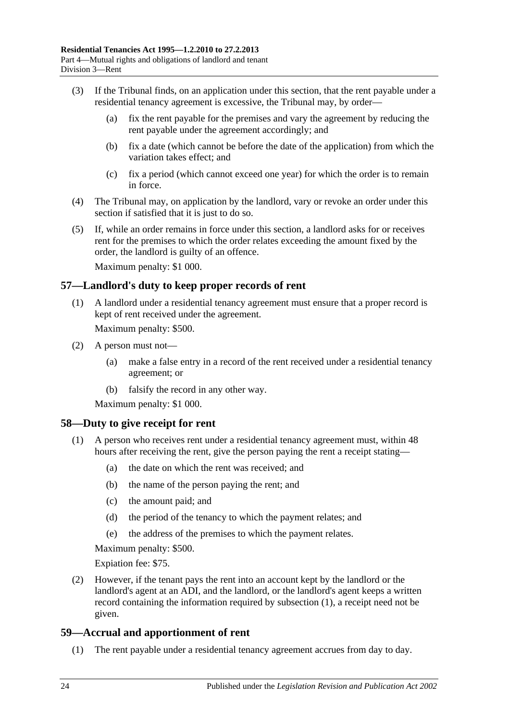- (3) If the Tribunal finds, on an application under this section, that the rent payable under a residential tenancy agreement is excessive, the Tribunal may, by order—
	- (a) fix the rent payable for the premises and vary the agreement by reducing the rent payable under the agreement accordingly; and
	- (b) fix a date (which cannot be before the date of the application) from which the variation takes effect; and
	- (c) fix a period (which cannot exceed one year) for which the order is to remain in force.
- (4) The Tribunal may, on application by the landlord, vary or revoke an order under this section if satisfied that it is just to do so.
- (5) If, while an order remains in force under this section, a landlord asks for or receives rent for the premises to which the order relates exceeding the amount fixed by the order, the landlord is guilty of an offence.

Maximum penalty: \$1 000.

#### <span id="page-23-0"></span>**57—Landlord's duty to keep proper records of rent**

(1) A landlord under a residential tenancy agreement must ensure that a proper record is kept of rent received under the agreement.

Maximum penalty: \$500.

- (2) A person must not—
	- (a) make a false entry in a record of the rent received under a residential tenancy agreement; or
	- (b) falsify the record in any other way.

Maximum penalty: \$1 000.

#### <span id="page-23-3"></span><span id="page-23-1"></span>**58—Duty to give receipt for rent**

- (1) A person who receives rent under a residential tenancy agreement must, within 48 hours after receiving the rent, give the person paying the rent a receipt stating—
	- (a) the date on which the rent was received; and
	- (b) the name of the person paying the rent; and
	- (c) the amount paid; and
	- (d) the period of the tenancy to which the payment relates; and
	- (e) the address of the premises to which the payment relates.

Maximum penalty: \$500.

Expiation fee: \$75.

(2) However, if the tenant pays the rent into an account kept by the landlord or the landlord's agent at an ADI, and the landlord, or the landlord's agent keeps a written record containing the information required by [subsection](#page-23-3) (1), a receipt need not be given.

## <span id="page-23-2"></span>**59—Accrual and apportionment of rent**

(1) The rent payable under a residential tenancy agreement accrues from day to day.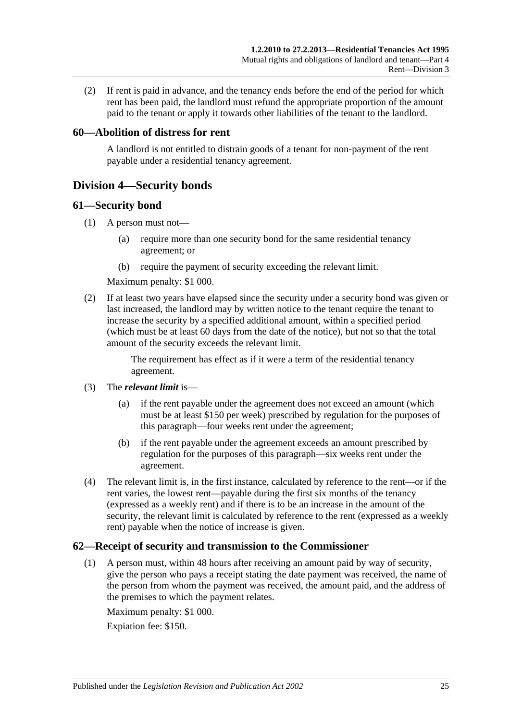(2) If rent is paid in advance, and the tenancy ends before the end of the period for which rent has been paid, the landlord must refund the appropriate proportion of the amount paid to the tenant or apply it towards other liabilities of the tenant to the landlord.

## <span id="page-24-0"></span>**60—Abolition of distress for rent**

A landlord is not entitled to distrain goods of a tenant for non-payment of the rent payable under a residential tenancy agreement.

## <span id="page-24-1"></span>**Division 4—Security bonds**

#### <span id="page-24-2"></span>**61—Security bond**

- (1) A person must not—
	- (a) require more than one security bond for the same residential tenancy agreement; or
	- (b) require the payment of security exceeding the relevant limit.

Maximum penalty: \$1 000.

(2) If at least two years have elapsed since the security under a security bond was given or last increased, the landlord may by written notice to the tenant require the tenant to increase the security by a specified additional amount, within a specified period (which must be at least 60 days from the date of the notice), but not so that the total amount of the security exceeds the relevant limit.

> The requirement has effect as if it were a term of the residential tenancy agreement.

- (3) The *relevant limit* is—
	- (a) if the rent payable under the agreement does not exceed an amount (which must be at least \$150 per week) prescribed by regulation for the purposes of this paragraph—four weeks rent under the agreement;
	- (b) if the rent payable under the agreement exceeds an amount prescribed by regulation for the purposes of this paragraph—six weeks rent under the agreement.
- (4) The relevant limit is, in the first instance, calculated by reference to the rent—or if the rent varies, the lowest rent—payable during the first six months of the tenancy (expressed as a weekly rent) and if there is to be an increase in the amount of the security, the relevant limit is calculated by reference to the rent (expressed as a weekly rent) payable when the notice of increase is given.

## <span id="page-24-3"></span>**62—Receipt of security and transmission to the Commissioner**

(1) A person must, within 48 hours after receiving an amount paid by way of security, give the person who pays a receipt stating the date payment was received, the name of the person from whom the payment was received, the amount paid, and the address of the premises to which the payment relates.

Maximum penalty: \$1 000.

Expiation fee: \$150.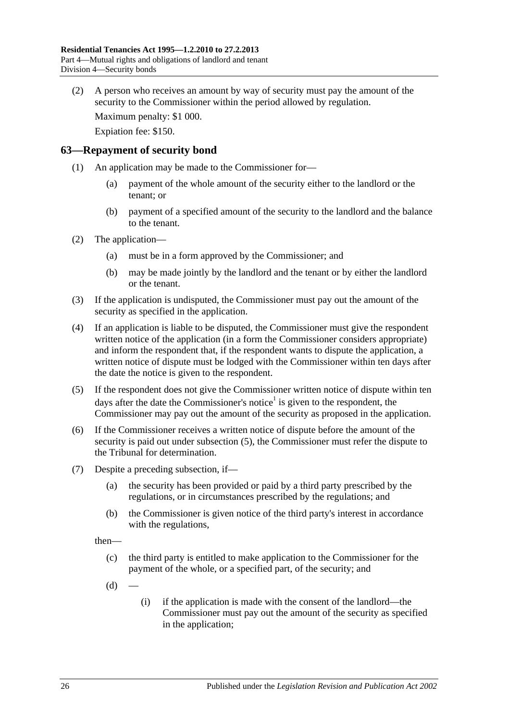(2) A person who receives an amount by way of security must pay the amount of the security to the Commissioner within the period allowed by regulation.

Maximum penalty: \$1 000.

Expiation fee: \$150.

#### <span id="page-25-0"></span>**63—Repayment of security bond**

- (1) An application may be made to the Commissioner for—
	- (a) payment of the whole amount of the security either to the landlord or the tenant; or
	- (b) payment of a specified amount of the security to the landlord and the balance to the tenant.
- (2) The application—
	- (a) must be in a form approved by the Commissioner; and
	- (b) may be made jointly by the landlord and the tenant or by either the landlord or the tenant.
- (3) If the application is undisputed, the Commissioner must pay out the amount of the security as specified in the application.
- <span id="page-25-3"></span>(4) If an application is liable to be disputed, the Commissioner must give the respondent written notice of the application (in a form the Commissioner considers appropriate) and inform the respondent that, if the respondent wants to dispute the application, a written notice of dispute must be lodged with the Commissioner within ten days after the date the notice is given to the respondent.
- <span id="page-25-1"></span>(5) If the respondent does not give the Commissioner written notice of dispute within ten days after the date the Commissioner's notice<sup>1</sup> is given to the respondent, the Commissioner may pay out the amount of the security as proposed in the application.
- (6) If the Commissioner receives a written notice of dispute before the amount of the security is paid out under [subsection](#page-25-1) (5), the Commissioner must refer the dispute to the Tribunal for determination.
- <span id="page-25-2"></span>(7) Despite a preceding subsection, if—
	- (a) the security has been provided or paid by a third party prescribed by the regulations, or in circumstances prescribed by the regulations; and
	- (b) the Commissioner is given notice of the third party's interest in accordance with the regulations,

then—

- (c) the third party is entitled to make application to the Commissioner for the payment of the whole, or a specified part, of the security; and
- $(d)$
- (i) if the application is made with the consent of the landlord—the Commissioner must pay out the amount of the security as specified in the application;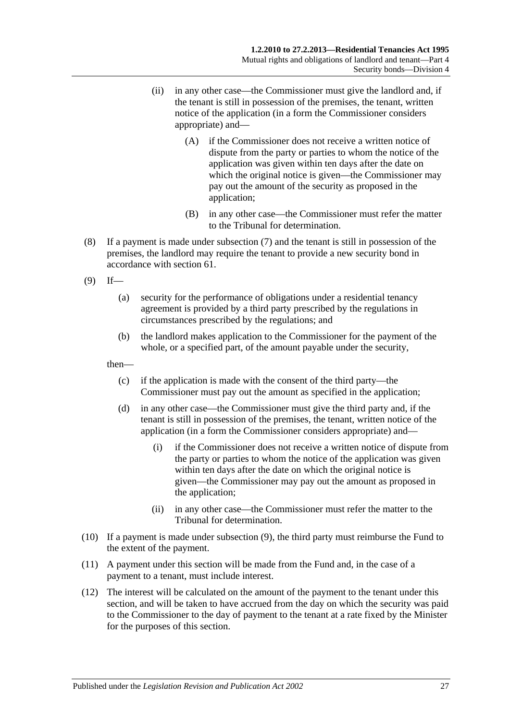- (ii) in any other case—the Commissioner must give the landlord and, if the tenant is still in possession of the premises, the tenant, written notice of the application (in a form the Commissioner considers appropriate) and—
	- (A) if the Commissioner does not receive a written notice of dispute from the party or parties to whom the notice of the application was given within ten days after the date on which the original notice is given—the Commissioner may pay out the amount of the security as proposed in the application;
	- (B) in any other case—the Commissioner must refer the matter to the Tribunal for determination.
- (8) If a payment is made under [subsection](#page-25-2) (7) and the tenant is still in possession of the premises, the landlord may require the tenant to provide a new security bond in accordance with [section](#page-24-2) 61.
- <span id="page-26-0"></span> $(9)$  If—
	- (a) security for the performance of obligations under a residential tenancy agreement is provided by a third party prescribed by the regulations in circumstances prescribed by the regulations; and
	- (b) the landlord makes application to the Commissioner for the payment of the whole, or a specified part, of the amount payable under the security,

then—

- (c) if the application is made with the consent of the third party—the Commissioner must pay out the amount as specified in the application;
- (d) in any other case—the Commissioner must give the third party and, if the tenant is still in possession of the premises, the tenant, written notice of the application (in a form the Commissioner considers appropriate) and—
	- (i) if the Commissioner does not receive a written notice of dispute from the party or parties to whom the notice of the application was given within ten days after the date on which the original notice is given—the Commissioner may pay out the amount as proposed in the application;
	- (ii) in any other case—the Commissioner must refer the matter to the Tribunal for determination.
- (10) If a payment is made under [subsection](#page-26-0) (9), the third party must reimburse the Fund to the extent of the payment.
- (11) A payment under this section will be made from the Fund and, in the case of a payment to a tenant, must include interest.
- (12) The interest will be calculated on the amount of the payment to the tenant under this section, and will be taken to have accrued from the day on which the security was paid to the Commissioner to the day of payment to the tenant at a rate fixed by the Minister for the purposes of this section.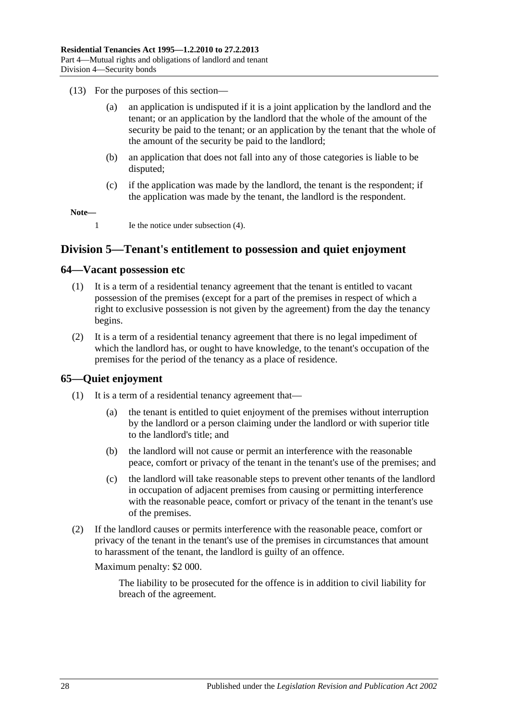- (13) For the purposes of this section—
	- (a) an application is undisputed if it is a joint application by the landlord and the tenant; or an application by the landlord that the whole of the amount of the security be paid to the tenant; or an application by the tenant that the whole of the amount of the security be paid to the landlord;
	- (b) an application that does not fall into any of those categories is liable to be disputed;
	- (c) if the application was made by the landlord, the tenant is the respondent; if the application was made by the tenant, the landlord is the respondent.

**Note—**

1 Ie the notice under [subsection](#page-25-3) (4).

## <span id="page-27-0"></span>**Division 5—Tenant's entitlement to possession and quiet enjoyment**

#### <span id="page-27-1"></span>**64—Vacant possession etc**

- (1) It is a term of a residential tenancy agreement that the tenant is entitled to vacant possession of the premises (except for a part of the premises in respect of which a right to exclusive possession is not given by the agreement) from the day the tenancy begins.
- (2) It is a term of a residential tenancy agreement that there is no legal impediment of which the landlord has, or ought to have knowledge, to the tenant's occupation of the premises for the period of the tenancy as a place of residence.

## <span id="page-27-2"></span>**65—Quiet enjoyment**

- (1) It is a term of a residential tenancy agreement that—
	- (a) the tenant is entitled to quiet enjoyment of the premises without interruption by the landlord or a person claiming under the landlord or with superior title to the landlord's title; and
	- (b) the landlord will not cause or permit an interference with the reasonable peace, comfort or privacy of the tenant in the tenant's use of the premises; and
	- (c) the landlord will take reasonable steps to prevent other tenants of the landlord in occupation of adjacent premises from causing or permitting interference with the reasonable peace, comfort or privacy of the tenant in the tenant's use of the premises.
- (2) If the landlord causes or permits interference with the reasonable peace, comfort or privacy of the tenant in the tenant's use of the premises in circumstances that amount to harassment of the tenant, the landlord is guilty of an offence.

Maximum penalty: \$2 000.

The liability to be prosecuted for the offence is in addition to civil liability for breach of the agreement.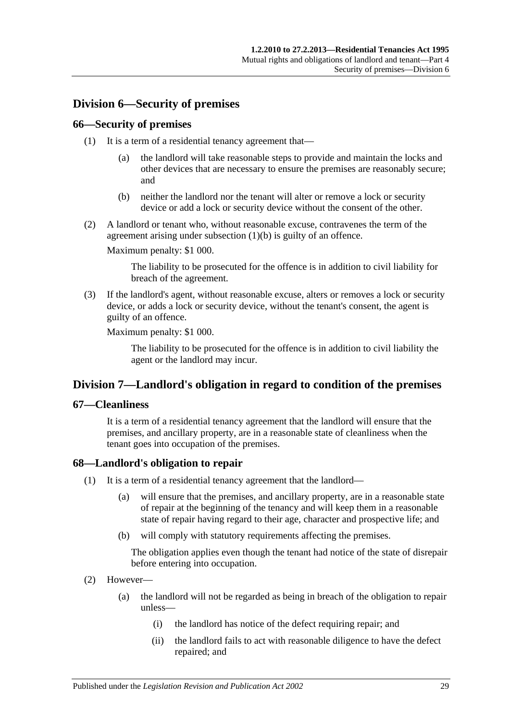## <span id="page-28-0"></span>**Division 6—Security of premises**

#### <span id="page-28-1"></span>**66—Security of premises**

- (1) It is a term of a residential tenancy agreement that—
	- (a) the landlord will take reasonable steps to provide and maintain the locks and other devices that are necessary to ensure the premises are reasonably secure; and
	- (b) neither the landlord nor the tenant will alter or remove a lock or security device or add a lock or security device without the consent of the other.
- <span id="page-28-5"></span>(2) A landlord or tenant who, without reasonable excuse, contravenes the term of the agreement arising under [subsection](#page-28-5) (1)(b) is guilty of an offence.

Maximum penalty: \$1 000.

The liability to be prosecuted for the offence is in addition to civil liability for breach of the agreement.

(3) If the landlord's agent, without reasonable excuse, alters or removes a lock or security device, or adds a lock or security device, without the tenant's consent, the agent is guilty of an offence.

Maximum penalty: \$1 000.

The liability to be prosecuted for the offence is in addition to civil liability the agent or the landlord may incur.

## <span id="page-28-2"></span>**Division 7—Landlord's obligation in regard to condition of the premises**

## <span id="page-28-3"></span>**67—Cleanliness**

It is a term of a residential tenancy agreement that the landlord will ensure that the premises, and ancillary property, are in a reasonable state of cleanliness when the tenant goes into occupation of the premises.

## <span id="page-28-6"></span><span id="page-28-4"></span>**68—Landlord's obligation to repair**

- (1) It is a term of a residential tenancy agreement that the landlord—
	- (a) will ensure that the premises, and ancillary property, are in a reasonable state of repair at the beginning of the tenancy and will keep them in a reasonable state of repair having regard to their age, character and prospective life; and
	- (b) will comply with statutory requirements affecting the premises.

The obligation applies even though the tenant had notice of the state of disrepair before entering into occupation.

- (2) However—
	- (a) the landlord will not be regarded as being in breach of the obligation to repair unless—
		- (i) the landlord has notice of the defect requiring repair; and
		- (ii) the landlord fails to act with reasonable diligence to have the defect repaired; and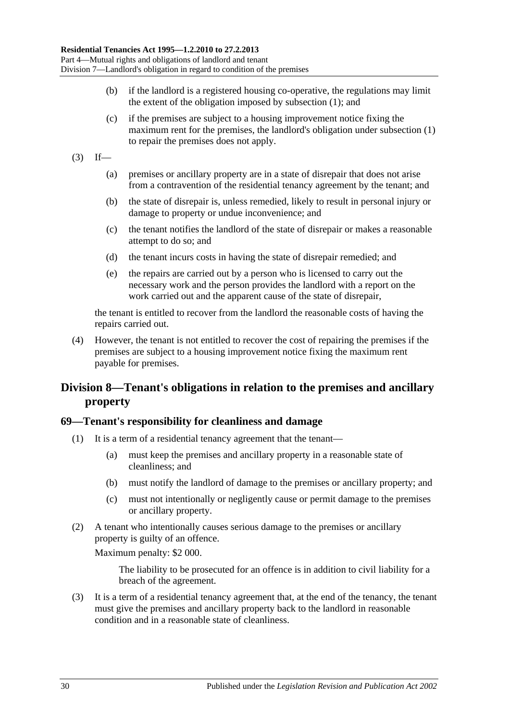- (b) if the landlord is a registered housing co-operative, the regulations may limit the extent of the obligation imposed by [subsection](#page-28-6) (1); and
- (c) if the premises are subject to a housing improvement notice fixing the maximum rent for the premises, the landlord's obligation under [subsection](#page-28-6) (1) to repair the premises does not apply.
- $(3)$  If—
	- (a) premises or ancillary property are in a state of disrepair that does not arise from a contravention of the residential tenancy agreement by the tenant; and
	- (b) the state of disrepair is, unless remedied, likely to result in personal injury or damage to property or undue inconvenience; and
	- (c) the tenant notifies the landlord of the state of disrepair or makes a reasonable attempt to do so; and
	- (d) the tenant incurs costs in having the state of disrepair remedied; and
	- (e) the repairs are carried out by a person who is licensed to carry out the necessary work and the person provides the landlord with a report on the work carried out and the apparent cause of the state of disrepair,

the tenant is entitled to recover from the landlord the reasonable costs of having the repairs carried out.

(4) However, the tenant is not entitled to recover the cost of repairing the premises if the premises are subject to a housing improvement notice fixing the maximum rent payable for premises.

## <span id="page-29-0"></span>**Division 8—Tenant's obligations in relation to the premises and ancillary property**

## <span id="page-29-1"></span>**69—Tenant's responsibility for cleanliness and damage**

- (1) It is a term of a residential tenancy agreement that the tenant—
	- (a) must keep the premises and ancillary property in a reasonable state of cleanliness; and
	- (b) must notify the landlord of damage to the premises or ancillary property; and
	- (c) must not intentionally or negligently cause or permit damage to the premises or ancillary property.
- (2) A tenant who intentionally causes serious damage to the premises or ancillary property is guilty of an offence.

Maximum penalty: \$2 000.

The liability to be prosecuted for an offence is in addition to civil liability for a breach of the agreement.

(3) It is a term of a residential tenancy agreement that, at the end of the tenancy, the tenant must give the premises and ancillary property back to the landlord in reasonable condition and in a reasonable state of cleanliness.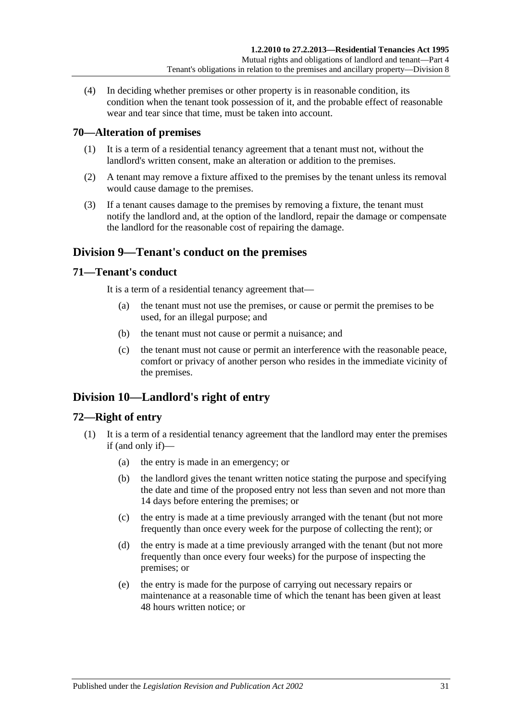(4) In deciding whether premises or other property is in reasonable condition, its condition when the tenant took possession of it, and the probable effect of reasonable wear and tear since that time, must be taken into account.

## <span id="page-30-0"></span>**70—Alteration of premises**

- (1) It is a term of a residential tenancy agreement that a tenant must not, without the landlord's written consent, make an alteration or addition to the premises.
- (2) A tenant may remove a fixture affixed to the premises by the tenant unless its removal would cause damage to the premises.
- (3) If a tenant causes damage to the premises by removing a fixture, the tenant must notify the landlord and, at the option of the landlord, repair the damage or compensate the landlord for the reasonable cost of repairing the damage.

## <span id="page-30-1"></span>**Division 9—Tenant's conduct on the premises**

#### <span id="page-30-2"></span>**71—Tenant's conduct**

It is a term of a residential tenancy agreement that—

- (a) the tenant must not use the premises, or cause or permit the premises to be used, for an illegal purpose; and
- (b) the tenant must not cause or permit a nuisance; and
- (c) the tenant must not cause or permit an interference with the reasonable peace, comfort or privacy of another person who resides in the immediate vicinity of the premises.

## <span id="page-30-3"></span>**Division 10—Landlord's right of entry**

## <span id="page-30-4"></span>**72—Right of entry**

- (1) It is a term of a residential tenancy agreement that the landlord may enter the premises if (and only if)—
	- (a) the entry is made in an emergency; or
	- (b) the landlord gives the tenant written notice stating the purpose and specifying the date and time of the proposed entry not less than seven and not more than 14 days before entering the premises; or
	- (c) the entry is made at a time previously arranged with the tenant (but not more frequently than once every week for the purpose of collecting the rent); or
	- (d) the entry is made at a time previously arranged with the tenant (but not more frequently than once every four weeks) for the purpose of inspecting the premises; or
	- (e) the entry is made for the purpose of carrying out necessary repairs or maintenance at a reasonable time of which the tenant has been given at least 48 hours written notice; or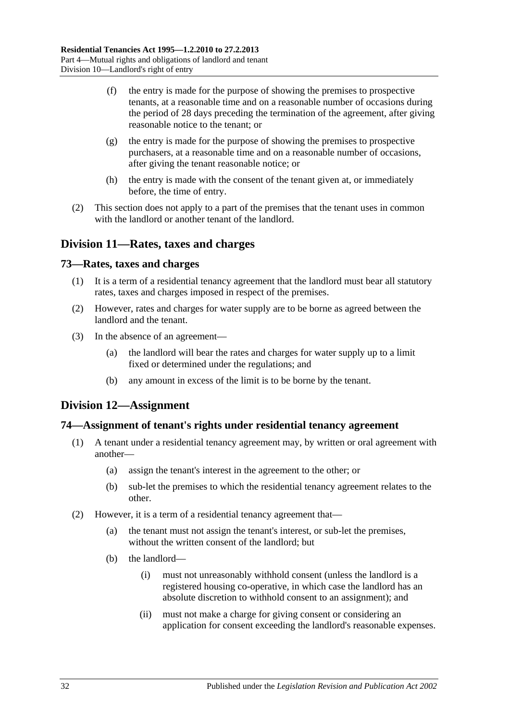- (f) the entry is made for the purpose of showing the premises to prospective tenants, at a reasonable time and on a reasonable number of occasions during the period of 28 days preceding the termination of the agreement, after giving reasonable notice to the tenant; or
- (g) the entry is made for the purpose of showing the premises to prospective purchasers, at a reasonable time and on a reasonable number of occasions, after giving the tenant reasonable notice; or
- (h) the entry is made with the consent of the tenant given at, or immediately before, the time of entry.
- (2) This section does not apply to a part of the premises that the tenant uses in common with the landlord or another tenant of the landlord.

## <span id="page-31-0"></span>**Division 11—Rates, taxes and charges**

#### <span id="page-31-1"></span>**73—Rates, taxes and charges**

- (1) It is a term of a residential tenancy agreement that the landlord must bear all statutory rates, taxes and charges imposed in respect of the premises.
- (2) However, rates and charges for water supply are to be borne as agreed between the landlord and the tenant.
- (3) In the absence of an agreement—
	- (a) the landlord will bear the rates and charges for water supply up to a limit fixed or determined under the regulations; and
	- (b) any amount in excess of the limit is to be borne by the tenant.

## <span id="page-31-2"></span>**Division 12—Assignment**

#### <span id="page-31-3"></span>**74—Assignment of tenant's rights under residential tenancy agreement**

- (1) A tenant under a residential tenancy agreement may, by written or oral agreement with another—
	- (a) assign the tenant's interest in the agreement to the other; or
	- (b) sub-let the premises to which the residential tenancy agreement relates to the other.
- (2) However, it is a term of a residential tenancy agreement that—
	- (a) the tenant must not assign the tenant's interest, or sub-let the premises, without the written consent of the landlord; but
	- (b) the landlord—
		- (i) must not unreasonably withhold consent (unless the landlord is a registered housing co-operative, in which case the landlord has an absolute discretion to withhold consent to an assignment); and
		- (ii) must not make a charge for giving consent or considering an application for consent exceeding the landlord's reasonable expenses.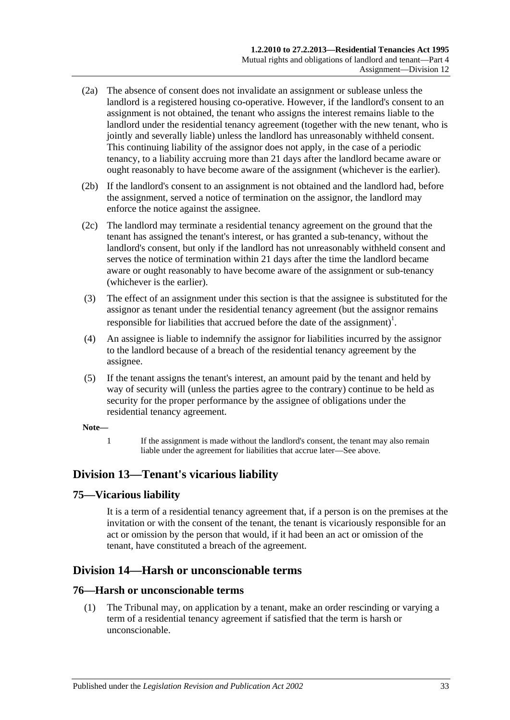- (2a) The absence of consent does not invalidate an assignment or sublease unless the landlord is a registered housing co-operative. However, if the landlord's consent to an assignment is not obtained, the tenant who assigns the interest remains liable to the landlord under the residential tenancy agreement (together with the new tenant, who is jointly and severally liable) unless the landlord has unreasonably withheld consent. This continuing liability of the assignor does not apply, in the case of a periodic tenancy, to a liability accruing more than 21 days after the landlord became aware or ought reasonably to have become aware of the assignment (whichever is the earlier).
- (2b) If the landlord's consent to an assignment is not obtained and the landlord had, before the assignment, served a notice of termination on the assignor, the landlord may enforce the notice against the assignee.
- (2c) The landlord may terminate a residential tenancy agreement on the ground that the tenant has assigned the tenant's interest, or has granted a sub-tenancy, without the landlord's consent, but only if the landlord has not unreasonably withheld consent and serves the notice of termination within 21 days after the time the landlord became aware or ought reasonably to have become aware of the assignment or sub-tenancy (whichever is the earlier).
- (3) The effect of an assignment under this section is that the assignee is substituted for the assignor as tenant under the residential tenancy agreement (but the assignor remains responsible for liabilities that accrued before the date of the assignment)<sup>1</sup>.
- (4) An assignee is liable to indemnify the assignor for liabilities incurred by the assignor to the landlord because of a breach of the residential tenancy agreement by the assignee.
- (5) If the tenant assigns the tenant's interest, an amount paid by the tenant and held by way of security will (unless the parties agree to the contrary) continue to be held as security for the proper performance by the assignee of obligations under the residential tenancy agreement.

#### **Note—**

1 If the assignment is made without the landlord's consent, the tenant may also remain liable under the agreement for liabilities that accrue later—See above.

## <span id="page-32-0"></span>**Division 13—Tenant's vicarious liability**

## <span id="page-32-1"></span>**75—Vicarious liability**

It is a term of a residential tenancy agreement that, if a person is on the premises at the invitation or with the consent of the tenant, the tenant is vicariously responsible for an act or omission by the person that would, if it had been an act or omission of the tenant, have constituted a breach of the agreement.

## <span id="page-32-2"></span>**Division 14—Harsh or unconscionable terms**

#### <span id="page-32-4"></span><span id="page-32-3"></span>**76—Harsh or unconscionable terms**

(1) The Tribunal may, on application by a tenant, make an order rescinding or varying a term of a residential tenancy agreement if satisfied that the term is harsh or unconscionable.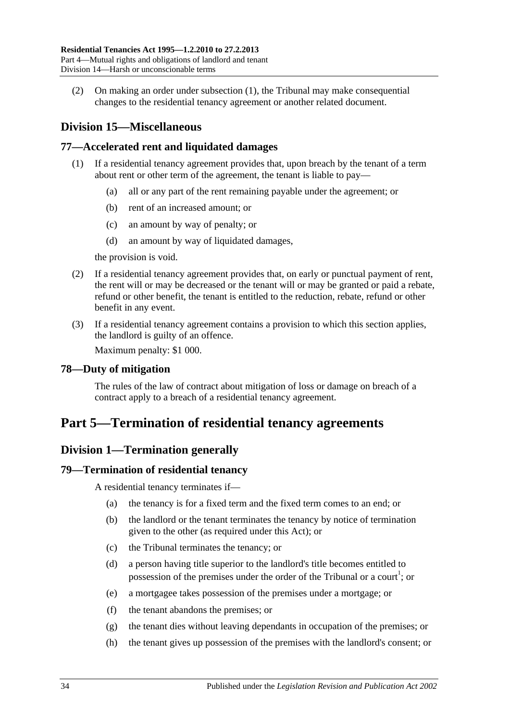(2) On making an order under [subsection](#page-32-4) (1), the Tribunal may make consequential changes to the residential tenancy agreement or another related document.

## <span id="page-33-0"></span>**Division 15—Miscellaneous**

## <span id="page-33-1"></span>**77—Accelerated rent and liquidated damages**

- (1) If a residential tenancy agreement provides that, upon breach by the tenant of a term about rent or other term of the agreement, the tenant is liable to pay—
	- (a) all or any part of the rent remaining payable under the agreement; or
	- (b) rent of an increased amount; or
	- (c) an amount by way of penalty; or
	- (d) an amount by way of liquidated damages,

the provision is void.

- (2) If a residential tenancy agreement provides that, on early or punctual payment of rent, the rent will or may be decreased or the tenant will or may be granted or paid a rebate, refund or other benefit, the tenant is entitled to the reduction, rebate, refund or other benefit in any event.
- (3) If a residential tenancy agreement contains a provision to which this section applies, the landlord is guilty of an offence.

Maximum penalty: \$1 000.

## <span id="page-33-2"></span>**78—Duty of mitigation**

The rules of the law of contract about mitigation of loss or damage on breach of a contract apply to a breach of a residential tenancy agreement.

## <span id="page-33-3"></span>**Part 5—Termination of residential tenancy agreements**

## <span id="page-33-4"></span>**Division 1—Termination generally**

## <span id="page-33-5"></span>**79—Termination of residential tenancy**

A residential tenancy terminates if—

- (a) the tenancy is for a fixed term and the fixed term comes to an end; or
- (b) the landlord or the tenant terminates the tenancy by notice of termination given to the other (as required under this Act); or
- (c) the Tribunal terminates the tenancy; or
- (d) a person having title superior to the landlord's title becomes entitled to possession of the premises under the order of the Tribunal or a court<sup>1</sup>; or
- (e) a mortgagee takes possession of the premises under a mortgage; or
- (f) the tenant abandons the premises; or
- (g) the tenant dies without leaving dependants in occupation of the premises; or
- (h) the tenant gives up possession of the premises with the landlord's consent; or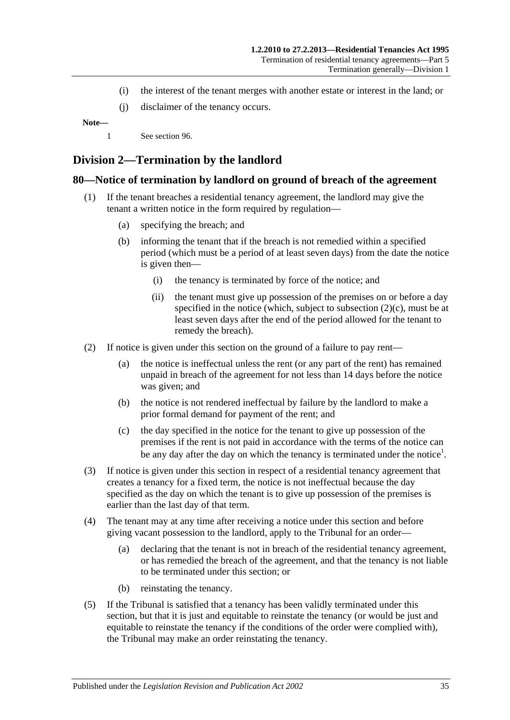- (i) the interest of the tenant merges with another estate or interest in the land; or
- (j) disclaimer of the tenancy occurs.

**Note—**

1 See [section](#page-41-1) 96.

## <span id="page-34-0"></span>**Division 2—Termination by the landlord**

#### <span id="page-34-1"></span>**80—Notice of termination by landlord on ground of breach of the agreement**

- (1) If the tenant breaches a residential tenancy agreement, the landlord may give the tenant a written notice in the form required by regulation—
	- (a) specifying the breach; and
	- (b) informing the tenant that if the breach is not remedied within a specified period (which must be a period of at least seven days) from the date the notice is given then—
		- (i) the tenancy is terminated by force of the notice; and
		- (ii) the tenant must give up possession of the premises on or before a day specified in the notice (which, subject to [subsection](#page-34-2)  $(2)(c)$ , must be at least seven days after the end of the period allowed for the tenant to remedy the breach).
- (2) If notice is given under this section on the ground of a failure to pay rent—
	- (a) the notice is ineffectual unless the rent (or any part of the rent) has remained unpaid in breach of the agreement for not less than 14 days before the notice was given; and
	- (b) the notice is not rendered ineffectual by failure by the landlord to make a prior formal demand for payment of the rent; and
	- (c) the day specified in the notice for the tenant to give up possession of the premises if the rent is not paid in accordance with the terms of the notice can be any day after the day on which the tenancy is terminated under the notice<sup>1</sup>.
- <span id="page-34-2"></span>(3) If notice is given under this section in respect of a residential tenancy agreement that creates a tenancy for a fixed term, the notice is not ineffectual because the day specified as the day on which the tenant is to give up possession of the premises is earlier than the last day of that term.
- (4) The tenant may at any time after receiving a notice under this section and before giving vacant possession to the landlord, apply to the Tribunal for an order—
	- (a) declaring that the tenant is not in breach of the residential tenancy agreement, or has remedied the breach of the agreement, and that the tenancy is not liable to be terminated under this section; or
	- (b) reinstating the tenancy.
- (5) If the Tribunal is satisfied that a tenancy has been validly terminated under this section, but that it is just and equitable to reinstate the tenancy (or would be just and equitable to reinstate the tenancy if the conditions of the order were complied with), the Tribunal may make an order reinstating the tenancy.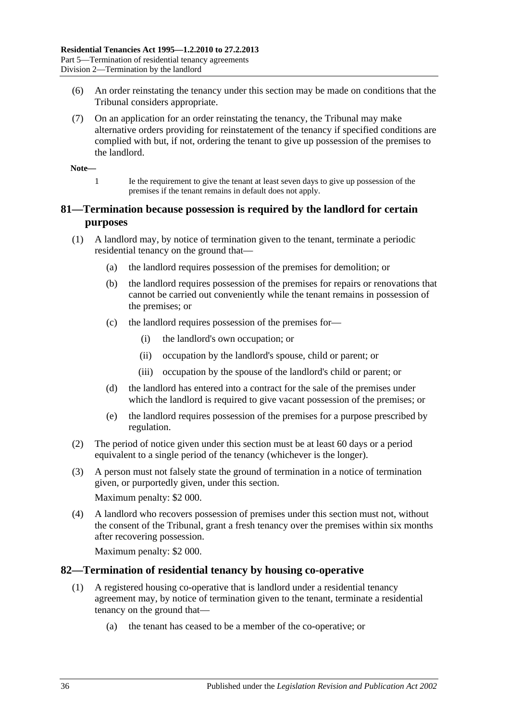- (6) An order reinstating the tenancy under this section may be made on conditions that the Tribunal considers appropriate.
- (7) On an application for an order reinstating the tenancy, the Tribunal may make alternative orders providing for reinstatement of the tenancy if specified conditions are complied with but, if not, ordering the tenant to give up possession of the premises to the landlord.

**Note—**

1 Ie the requirement to give the tenant at least seven days to give up possession of the premises if the tenant remains in default does not apply.

## <span id="page-35-0"></span>**81—Termination because possession is required by the landlord for certain purposes**

- (1) A landlord may, by notice of termination given to the tenant, terminate a periodic residential tenancy on the ground that—
	- (a) the landlord requires possession of the premises for demolition; or
	- (b) the landlord requires possession of the premises for repairs or renovations that cannot be carried out conveniently while the tenant remains in possession of the premises; or
	- (c) the landlord requires possession of the premises for—
		- (i) the landlord's own occupation; or
		- (ii) occupation by the landlord's spouse, child or parent; or
		- (iii) occupation by the spouse of the landlord's child or parent; or
	- (d) the landlord has entered into a contract for the sale of the premises under which the landlord is required to give vacant possession of the premises; or
	- (e) the landlord requires possession of the premises for a purpose prescribed by regulation.
- (2) The period of notice given under this section must be at least 60 days or a period equivalent to a single period of the tenancy (whichever is the longer).
- (3) A person must not falsely state the ground of termination in a notice of termination given, or purportedly given, under this section. Maximum penalty: \$2 000.

(4) A landlord who recovers possession of premises under this section must not, without

the consent of the Tribunal, grant a fresh tenancy over the premises within six months after recovering possession.

Maximum penalty: \$2 000.

#### <span id="page-35-1"></span>**82—Termination of residential tenancy by housing co-operative**

- (1) A registered housing co-operative that is landlord under a residential tenancy agreement may, by notice of termination given to the tenant, terminate a residential tenancy on the ground that—
	- (a) the tenant has ceased to be a member of the co-operative; or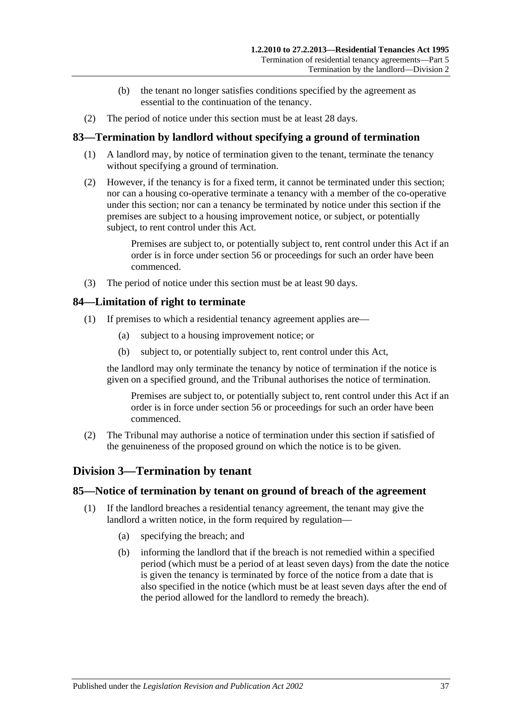- (b) the tenant no longer satisfies conditions specified by the agreement as essential to the continuation of the tenancy.
- (2) The period of notice under this section must be at least 28 days.

## <span id="page-36-0"></span>**83—Termination by landlord without specifying a ground of termination**

- (1) A landlord may, by notice of termination given to the tenant, terminate the tenancy without specifying a ground of termination.
- (2) However, if the tenancy is for a fixed term, it cannot be terminated under this section; nor can a housing co-operative terminate a tenancy with a member of the co-operative under this section; nor can a tenancy be terminated by notice under this section if the premises are subject to a housing improvement notice, or subject, or potentially subject, to rent control under this Act.

Premises are subject to, or potentially subject to, rent control under this Act if an order is in force under section 56 or proceedings for such an order have been commenced.

(3) The period of notice under this section must be at least 90 days.

## <span id="page-36-1"></span>**84—Limitation of right to terminate**

- (1) If premises to which a residential tenancy agreement applies are—
	- (a) subject to a housing improvement notice; or
	- (b) subject to, or potentially subject to, rent control under this Act,

the landlord may only terminate the tenancy by notice of termination if the notice is given on a specified ground, and the Tribunal authorises the notice of termination.

Premises are subject to, or potentially subject to, rent control under this Act if an order is in force under section 56 or proceedings for such an order have been commenced.

(2) The Tribunal may authorise a notice of termination under this section if satisfied of the genuineness of the proposed ground on which the notice is to be given.

## <span id="page-36-2"></span>**Division 3—Termination by tenant**

## <span id="page-36-3"></span>**85—Notice of termination by tenant on ground of breach of the agreement**

- (1) If the landlord breaches a residential tenancy agreement, the tenant may give the landlord a written notice, in the form required by regulation—
	- (a) specifying the breach; and
	- (b) informing the landlord that if the breach is not remedied within a specified period (which must be a period of at least seven days) from the date the notice is given the tenancy is terminated by force of the notice from a date that is also specified in the notice (which must be at least seven days after the end of the period allowed for the landlord to remedy the breach).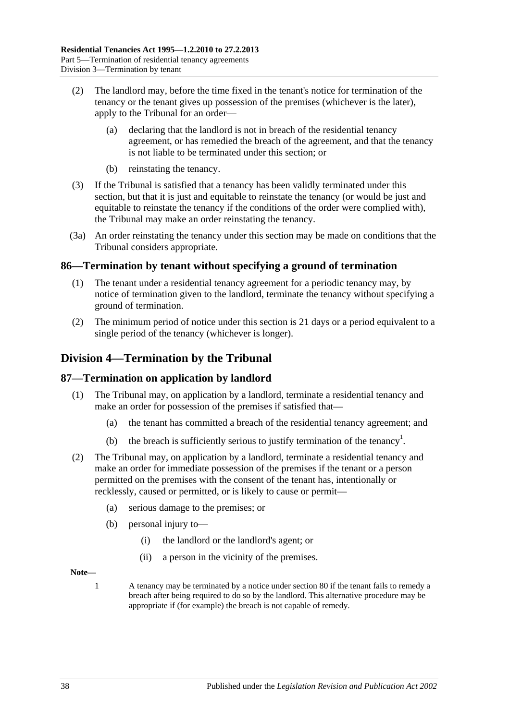- (2) The landlord may, before the time fixed in the tenant's notice for termination of the tenancy or the tenant gives up possession of the premises (whichever is the later), apply to the Tribunal for an order—
	- (a) declaring that the landlord is not in breach of the residential tenancy agreement, or has remedied the breach of the agreement, and that the tenancy is not liable to be terminated under this section; or
	- (b) reinstating the tenancy.
- (3) If the Tribunal is satisfied that a tenancy has been validly terminated under this section, but that it is just and equitable to reinstate the tenancy (or would be just and equitable to reinstate the tenancy if the conditions of the order were complied with), the Tribunal may make an order reinstating the tenancy.
- (3a) An order reinstating the tenancy under this section may be made on conditions that the Tribunal considers appropriate.

#### <span id="page-37-0"></span>**86—Termination by tenant without specifying a ground of termination**

- (1) The tenant under a residential tenancy agreement for a periodic tenancy may, by notice of termination given to the landlord, terminate the tenancy without specifying a ground of termination.
- (2) The minimum period of notice under this section is 21 days or a period equivalent to a single period of the tenancy (whichever is longer).

## <span id="page-37-1"></span>**Division 4—Termination by the Tribunal**

## <span id="page-37-2"></span>**87—Termination on application by landlord**

- (1) The Tribunal may, on application by a landlord, terminate a residential tenancy and make an order for possession of the premises if satisfied that—
	- (a) the tenant has committed a breach of the residential tenancy agreement; and
	- (b) the breach is sufficiently serious to justify termination of the tenancy<sup>1</sup>.
- (2) The Tribunal may, on application by a landlord, terminate a residential tenancy and make an order for immediate possession of the premises if the tenant or a person permitted on the premises with the consent of the tenant has, intentionally or recklessly, caused or permitted, or is likely to cause or permit—
	- (a) serious damage to the premises; or
	- (b) personal injury to—
		- (i) the landlord or the landlord's agent; or
		- (ii) a person in the vicinity of the premises.

#### **Note—**

1 A tenancy may be terminated by a notice under [section](#page-34-1) 80 if the tenant fails to remedy a breach after being required to do so by the landlord. This alternative procedure may be appropriate if (for example) the breach is not capable of remedy.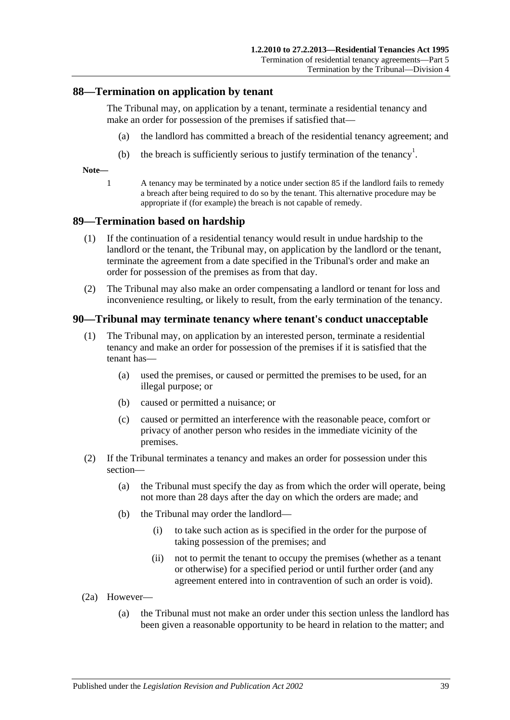#### <span id="page-38-0"></span>**88—Termination on application by tenant**

The Tribunal may, on application by a tenant, terminate a residential tenancy and make an order for possession of the premises if satisfied that—

- (a) the landlord has committed a breach of the residential tenancy agreement; and
- (b) the breach is sufficiently serious to justify termination of the tenancy<sup>1</sup>.

**Note—**

1 A tenancy may be terminated by a notice under [section](#page-36-3) 85 if the landlord fails to remedy a breach after being required to do so by the tenant. This alternative procedure may be appropriate if (for example) the breach is not capable of remedy.

#### <span id="page-38-1"></span>**89—Termination based on hardship**

- (1) If the continuation of a residential tenancy would result in undue hardship to the landlord or the tenant, the Tribunal may, on application by the landlord or the tenant, terminate the agreement from a date specified in the Tribunal's order and make an order for possession of the premises as from that day.
- (2) The Tribunal may also make an order compensating a landlord or tenant for loss and inconvenience resulting, or likely to result, from the early termination of the tenancy.

#### <span id="page-38-2"></span>**90—Tribunal may terminate tenancy where tenant's conduct unacceptable**

- (1) The Tribunal may, on application by an interested person, terminate a residential tenancy and make an order for possession of the premises if it is satisfied that the tenant has—
	- (a) used the premises, or caused or permitted the premises to be used, for an illegal purpose; or
	- (b) caused or permitted a nuisance; or
	- (c) caused or permitted an interference with the reasonable peace, comfort or privacy of another person who resides in the immediate vicinity of the premises.
- (2) If the Tribunal terminates a tenancy and makes an order for possession under this section—
	- (a) the Tribunal must specify the day as from which the order will operate, being not more than 28 days after the day on which the orders are made; and
	- (b) the Tribunal may order the landlord—
		- (i) to take such action as is specified in the order for the purpose of taking possession of the premises; and
		- (ii) not to permit the tenant to occupy the premises (whether as a tenant or otherwise) for a specified period or until further order (and any agreement entered into in contravention of such an order is void).
- (2a) However—
	- (a) the Tribunal must not make an order under this section unless the landlord has been given a reasonable opportunity to be heard in relation to the matter; and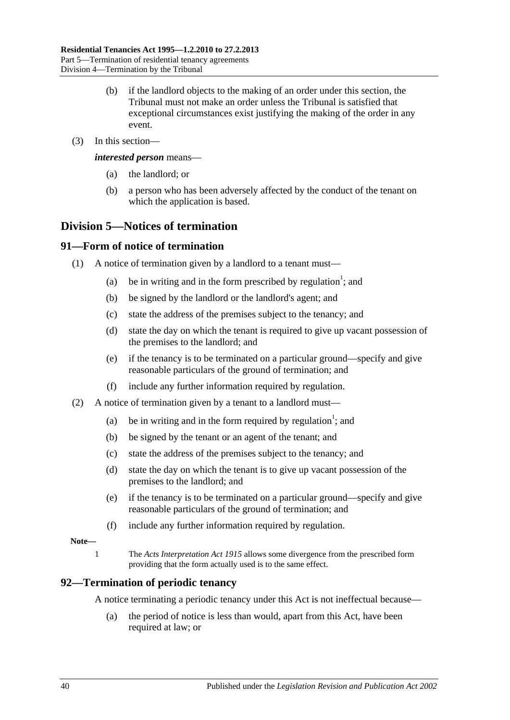- (b) if the landlord objects to the making of an order under this section, the Tribunal must not make an order unless the Tribunal is satisfied that exceptional circumstances exist justifying the making of the order in any event.
- (3) In this section—

*interested person* means—

- (a) the landlord; or
- (b) a person who has been adversely affected by the conduct of the tenant on which the application is based.

## <span id="page-39-0"></span>**Division 5—Notices of termination**

## <span id="page-39-1"></span>**91—Form of notice of termination**

- (1) A notice of termination given by a landlord to a tenant must—
	- (a) be in writing and in the form prescribed by regulation<sup>1</sup>; and
	- (b) be signed by the landlord or the landlord's agent; and
	- (c) state the address of the premises subject to the tenancy; and
	- (d) state the day on which the tenant is required to give up vacant possession of the premises to the landlord; and
	- (e) if the tenancy is to be terminated on a particular ground—specify and give reasonable particulars of the ground of termination; and
	- (f) include any further information required by regulation.
- (2) A notice of termination given by a tenant to a landlord must—
	- (a) be in writing and in the form required by regulation<sup>1</sup>; and
	- (b) be signed by the tenant or an agent of the tenant; and
	- (c) state the address of the premises subject to the tenancy; and
	- (d) state the day on which the tenant is to give up vacant possession of the premises to the landlord; and
	- (e) if the tenancy is to be terminated on a particular ground—specify and give reasonable particulars of the ground of termination; and
	- (f) include any further information required by regulation.

#### **Note—**

1 The *[Acts Interpretation Act](http://www.legislation.sa.gov.au/index.aspx?action=legref&type=act&legtitle=Acts%20Interpretation%20Act%201915) 1915* allows some divergence from the prescribed form providing that the form actually used is to the same effect.

## <span id="page-39-2"></span>**92—Termination of periodic tenancy**

A notice terminating a periodic tenancy under this Act is not ineffectual because—

(a) the period of notice is less than would, apart from this Act, have been required at law; or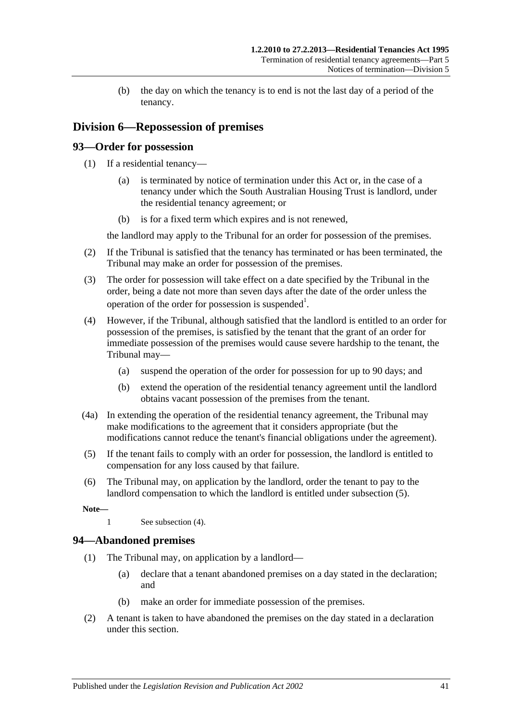(b) the day on which the tenancy is to end is not the last day of a period of the tenancy.

## <span id="page-40-0"></span>**Division 6—Repossession of premises**

## <span id="page-40-1"></span>**93—Order for possession**

- (1) If a residential tenancy—
	- (a) is terminated by notice of termination under this Act or, in the case of a tenancy under which the South Australian Housing Trust is landlord, under the residential tenancy agreement; or
	- (b) is for a fixed term which expires and is not renewed,

the landlord may apply to the Tribunal for an order for possession of the premises.

- (2) If the Tribunal is satisfied that the tenancy has terminated or has been terminated, the Tribunal may make an order for possession of the premises.
- (3) The order for possession will take effect on a date specified by the Tribunal in the order, being a date not more than seven days after the date of the order unless the operation of the order for possession is suspended<sup>1</sup>.
- <span id="page-40-4"></span>(4) However, if the Tribunal, although satisfied that the landlord is entitled to an order for possession of the premises, is satisfied by the tenant that the grant of an order for immediate possession of the premises would cause severe hardship to the tenant, the Tribunal may—
	- (a) suspend the operation of the order for possession for up to 90 days; and
	- (b) extend the operation of the residential tenancy agreement until the landlord obtains vacant possession of the premises from the tenant.
- (4a) In extending the operation of the residential tenancy agreement, the Tribunal may make modifications to the agreement that it considers appropriate (but the modifications cannot reduce the tenant's financial obligations under the agreement).
- <span id="page-40-3"></span>(5) If the tenant fails to comply with an order for possession, the landlord is entitled to compensation for any loss caused by that failure.
- (6) The Tribunal may, on application by the landlord, order the tenant to pay to the landlord compensation to which the landlord is entitled under [subsection](#page-40-3) (5).

**Note—**

1 See [subsection](#page-40-4) (4).

## <span id="page-40-2"></span>**94—Abandoned premises**

- (1) The Tribunal may, on application by a landlord—
	- (a) declare that a tenant abandoned premises on a day stated in the declaration; and
	- (b) make an order for immediate possession of the premises.
- (2) A tenant is taken to have abandoned the premises on the day stated in a declaration under this section.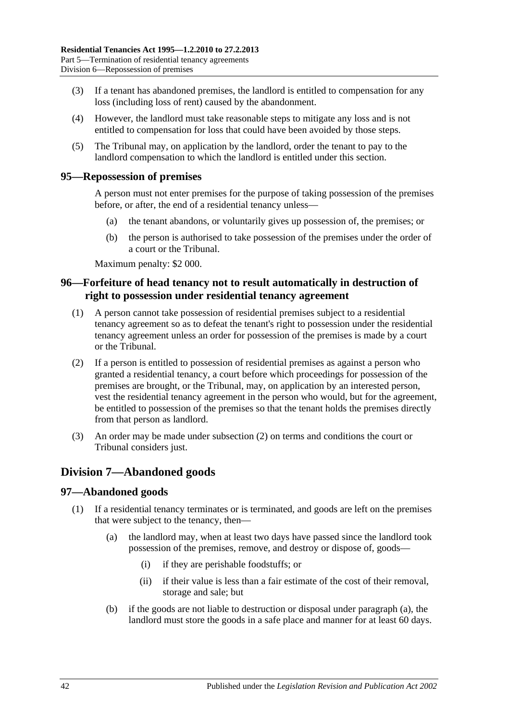- (3) If a tenant has abandoned premises, the landlord is entitled to compensation for any loss (including loss of rent) caused by the abandonment.
- (4) However, the landlord must take reasonable steps to mitigate any loss and is not entitled to compensation for loss that could have been avoided by those steps.
- (5) The Tribunal may, on application by the landlord, order the tenant to pay to the landlord compensation to which the landlord is entitled under this section.

#### <span id="page-41-0"></span>**95—Repossession of premises**

A person must not enter premises for the purpose of taking possession of the premises before, or after, the end of a residential tenancy unless—

- (a) the tenant abandons, or voluntarily gives up possession of, the premises; or
- (b) the person is authorised to take possession of the premises under the order of a court or the Tribunal.

Maximum penalty: \$2 000.

## <span id="page-41-1"></span>**96—Forfeiture of head tenancy not to result automatically in destruction of right to possession under residential tenancy agreement**

- (1) A person cannot take possession of residential premises subject to a residential tenancy agreement so as to defeat the tenant's right to possession under the residential tenancy agreement unless an order for possession of the premises is made by a court or the Tribunal.
- <span id="page-41-4"></span>(2) If a person is entitled to possession of residential premises as against a person who granted a residential tenancy, a court before which proceedings for possession of the premises are brought, or the Tribunal, may, on application by an interested person, vest the residential tenancy agreement in the person who would, but for the agreement, be entitled to possession of the premises so that the tenant holds the premises directly from that person as landlord.
- (3) An order may be made under [subsection](#page-41-4) (2) on terms and conditions the court or Tribunal considers just.

## <span id="page-41-2"></span>**Division 7—Abandoned goods**

## <span id="page-41-3"></span>**97—Abandoned goods**

- <span id="page-41-5"></span>(1) If a residential tenancy terminates or is terminated, and goods are left on the premises that were subject to the tenancy, then—
	- (a) the landlord may, when at least two days have passed since the landlord took possession of the premises, remove, and destroy or dispose of, goods—
		- (i) if they are perishable foodstuffs; or
		- (ii) if their value is less than a fair estimate of the cost of their removal, storage and sale; but
	- (b) if the goods are not liable to destruction or disposal under [paragraph](#page-41-5) (a), the landlord must store the goods in a safe place and manner for at least 60 days.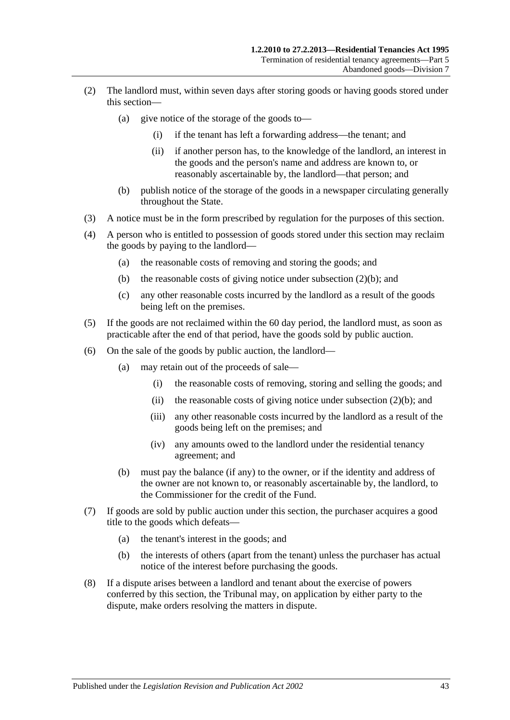- (2) The landlord must, within seven days after storing goods or having goods stored under this section—
	- (a) give notice of the storage of the goods to—
		- (i) if the tenant has left a forwarding address—the tenant; and
		- (ii) if another person has, to the knowledge of the landlord, an interest in the goods and the person's name and address are known to, or reasonably ascertainable by, the landlord—that person; and
	- (b) publish notice of the storage of the goods in a newspaper circulating generally throughout the State.
- <span id="page-42-0"></span>(3) A notice must be in the form prescribed by regulation for the purposes of this section.
- (4) A person who is entitled to possession of goods stored under this section may reclaim the goods by paying to the landlord—
	- (a) the reasonable costs of removing and storing the goods; and
	- (b) the reasonable costs of giving notice under [subsection](#page-42-0) (2)(b); and
	- (c) any other reasonable costs incurred by the landlord as a result of the goods being left on the premises.
- (5) If the goods are not reclaimed within the 60 day period, the landlord must, as soon as practicable after the end of that period, have the goods sold by public auction.
- (6) On the sale of the goods by public auction, the landlord—
	- (a) may retain out of the proceeds of sale—
		- (i) the reasonable costs of removing, storing and selling the goods; and
		- (ii) the reasonable costs of giving notice under [subsection](#page-42-0)  $(2)(b)$ ; and
		- (iii) any other reasonable costs incurred by the landlord as a result of the goods being left on the premises; and
		- (iv) any amounts owed to the landlord under the residential tenancy agreement; and
	- (b) must pay the balance (if any) to the owner, or if the identity and address of the owner are not known to, or reasonably ascertainable by, the landlord, to the Commissioner for the credit of the Fund.
- (7) If goods are sold by public auction under this section, the purchaser acquires a good title to the goods which defeats—
	- (a) the tenant's interest in the goods; and
	- (b) the interests of others (apart from the tenant) unless the purchaser has actual notice of the interest before purchasing the goods.
- (8) If a dispute arises between a landlord and tenant about the exercise of powers conferred by this section, the Tribunal may, on application by either party to the dispute, make orders resolving the matters in dispute.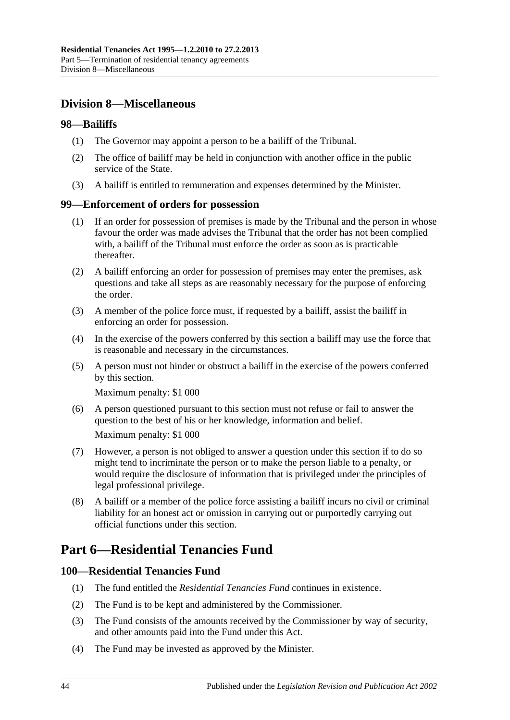## <span id="page-43-0"></span>**Division 8—Miscellaneous**

## <span id="page-43-1"></span>**98—Bailiffs**

- (1) The Governor may appoint a person to be a bailiff of the Tribunal.
- (2) The office of bailiff may be held in conjunction with another office in the public service of the State.
- (3) A bailiff is entitled to remuneration and expenses determined by the Minister.

## <span id="page-43-2"></span>**99—Enforcement of orders for possession**

- (1) If an order for possession of premises is made by the Tribunal and the person in whose favour the order was made advises the Tribunal that the order has not been complied with, a bailiff of the Tribunal must enforce the order as soon as is practicable thereafter.
- (2) A bailiff enforcing an order for possession of premises may enter the premises, ask questions and take all steps as are reasonably necessary for the purpose of enforcing the order.
- (3) A member of the police force must, if requested by a bailiff, assist the bailiff in enforcing an order for possession.
- (4) In the exercise of the powers conferred by this section a bailiff may use the force that is reasonable and necessary in the circumstances.
- (5) A person must not hinder or obstruct a bailiff in the exercise of the powers conferred by this section.

Maximum penalty: \$1 000

(6) A person questioned pursuant to this section must not refuse or fail to answer the question to the best of his or her knowledge, information and belief.

Maximum penalty: \$1 000

- (7) However, a person is not obliged to answer a question under this section if to do so might tend to incriminate the person or to make the person liable to a penalty, or would require the disclosure of information that is privileged under the principles of legal professional privilege.
- (8) A bailiff or a member of the police force assisting a bailiff incurs no civil or criminal liability for an honest act or omission in carrying out or purportedly carrying out official functions under this section.

## <span id="page-43-3"></span>**Part 6—Residential Tenancies Fund**

## <span id="page-43-4"></span>**100—Residential Tenancies Fund**

- (1) The fund entitled the *Residential Tenancies Fund* continues in existence.
- (2) The Fund is to be kept and administered by the Commissioner.
- (3) The Fund consists of the amounts received by the Commissioner by way of security, and other amounts paid into the Fund under this Act.
- (4) The Fund may be invested as approved by the Minister.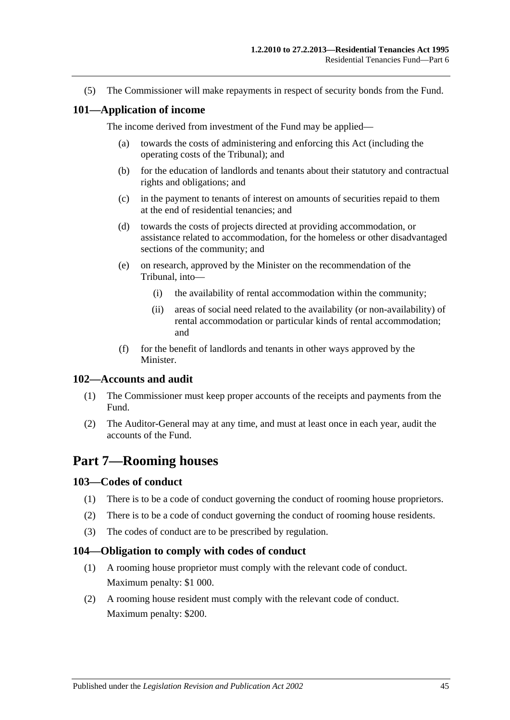(5) The Commissioner will make repayments in respect of security bonds from the Fund.

#### <span id="page-44-0"></span>**101—Application of income**

The income derived from investment of the Fund may be applied—

- (a) towards the costs of administering and enforcing this Act (including the operating costs of the Tribunal); and
- (b) for the education of landlords and tenants about their statutory and contractual rights and obligations; and
- (c) in the payment to tenants of interest on amounts of securities repaid to them at the end of residential tenancies; and
- (d) towards the costs of projects directed at providing accommodation, or assistance related to accommodation, for the homeless or other disadvantaged sections of the community; and
- (e) on research, approved by the Minister on the recommendation of the Tribunal, into—
	- (i) the availability of rental accommodation within the community;
	- (ii) areas of social need related to the availability (or non-availability) of rental accommodation or particular kinds of rental accommodation; and
- (f) for the benefit of landlords and tenants in other ways approved by the Minister.

#### <span id="page-44-1"></span>**102—Accounts and audit**

- (1) The Commissioner must keep proper accounts of the receipts and payments from the Fund.
- (2) The Auditor-General may at any time, and must at least once in each year, audit the accounts of the Fund.

## <span id="page-44-2"></span>**Part 7—Rooming houses**

#### <span id="page-44-3"></span>**103—Codes of conduct**

- (1) There is to be a code of conduct governing the conduct of rooming house proprietors.
- (2) There is to be a code of conduct governing the conduct of rooming house residents.
- (3) The codes of conduct are to be prescribed by regulation.

#### <span id="page-44-4"></span>**104—Obligation to comply with codes of conduct**

- (1) A rooming house proprietor must comply with the relevant code of conduct. Maximum penalty: \$1 000.
- (2) A rooming house resident must comply with the relevant code of conduct. Maximum penalty: \$200.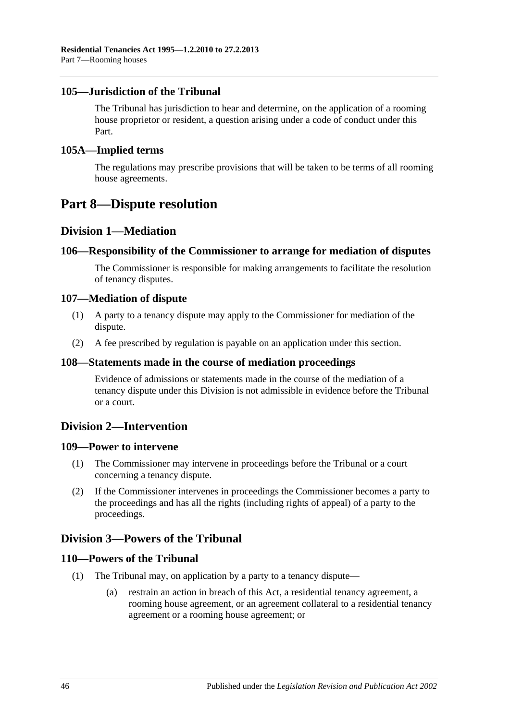## <span id="page-45-0"></span>**105—Jurisdiction of the Tribunal**

The Tribunal has jurisdiction to hear and determine, on the application of a rooming house proprietor or resident, a question arising under a code of conduct under this Part.

## <span id="page-45-1"></span>**105A—Implied terms**

The regulations may prescribe provisions that will be taken to be terms of all rooming house agreements.

## <span id="page-45-2"></span>**Part 8—Dispute resolution**

## <span id="page-45-3"></span>**Division 1—Mediation**

## <span id="page-45-4"></span>**106—Responsibility of the Commissioner to arrange for mediation of disputes**

The Commissioner is responsible for making arrangements to facilitate the resolution of tenancy disputes.

#### <span id="page-45-5"></span>**107—Mediation of dispute**

- (1) A party to a tenancy dispute may apply to the Commissioner for mediation of the dispute.
- (2) A fee prescribed by regulation is payable on an application under this section.

#### <span id="page-45-6"></span>**108—Statements made in the course of mediation proceedings**

Evidence of admissions or statements made in the course of the mediation of a tenancy dispute under this Division is not admissible in evidence before the Tribunal or a court.

## <span id="page-45-7"></span>**Division 2—Intervention**

#### <span id="page-45-8"></span>**109—Power to intervene**

- (1) The Commissioner may intervene in proceedings before the Tribunal or a court concerning a tenancy dispute.
- (2) If the Commissioner intervenes in proceedings the Commissioner becomes a party to the proceedings and has all the rights (including rights of appeal) of a party to the proceedings.

## <span id="page-45-9"></span>**Division 3—Powers of the Tribunal**

## <span id="page-45-10"></span>**110—Powers of the Tribunal**

- (1) The Tribunal may, on application by a party to a tenancy dispute—
	- (a) restrain an action in breach of this Act, a residential tenancy agreement, a rooming house agreement, or an agreement collateral to a residential tenancy agreement or a rooming house agreement; or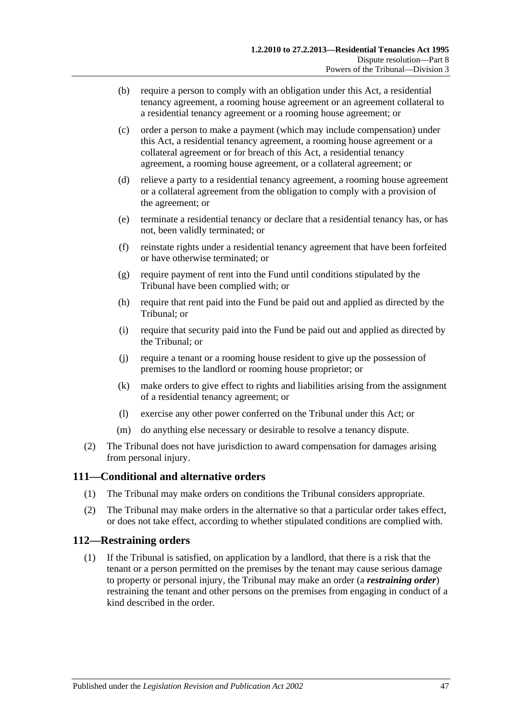- (b) require a person to comply with an obligation under this Act, a residential tenancy agreement, a rooming house agreement or an agreement collateral to a residential tenancy agreement or a rooming house agreement; or
- (c) order a person to make a payment (which may include compensation) under this Act, a residential tenancy agreement, a rooming house agreement or a collateral agreement or for breach of this Act, a residential tenancy agreement, a rooming house agreement, or a collateral agreement; or
- (d) relieve a party to a residential tenancy agreement, a rooming house agreement or a collateral agreement from the obligation to comply with a provision of the agreement; or
- (e) terminate a residential tenancy or declare that a residential tenancy has, or has not, been validly terminated; or
- (f) reinstate rights under a residential tenancy agreement that have been forfeited or have otherwise terminated; or
- (g) require payment of rent into the Fund until conditions stipulated by the Tribunal have been complied with; or
- (h) require that rent paid into the Fund be paid out and applied as directed by the Tribunal; or
- (i) require that security paid into the Fund be paid out and applied as directed by the Tribunal; or
- (j) require a tenant or a rooming house resident to give up the possession of premises to the landlord or rooming house proprietor; or
- (k) make orders to give effect to rights and liabilities arising from the assignment of a residential tenancy agreement; or
- (l) exercise any other power conferred on the Tribunal under this Act; or
- (m) do anything else necessary or desirable to resolve a tenancy dispute.
- (2) The Tribunal does not have jurisdiction to award compensation for damages arising from personal injury.

## <span id="page-46-0"></span>**111—Conditional and alternative orders**

- (1) The Tribunal may make orders on conditions the Tribunal considers appropriate.
- (2) The Tribunal may make orders in the alternative so that a particular order takes effect, or does not take effect, according to whether stipulated conditions are complied with.

## <span id="page-46-1"></span>**112—Restraining orders**

(1) If the Tribunal is satisfied, on application by a landlord, that there is a risk that the tenant or a person permitted on the premises by the tenant may cause serious damage to property or personal injury, the Tribunal may make an order (a *restraining order*) restraining the tenant and other persons on the premises from engaging in conduct of a kind described in the order.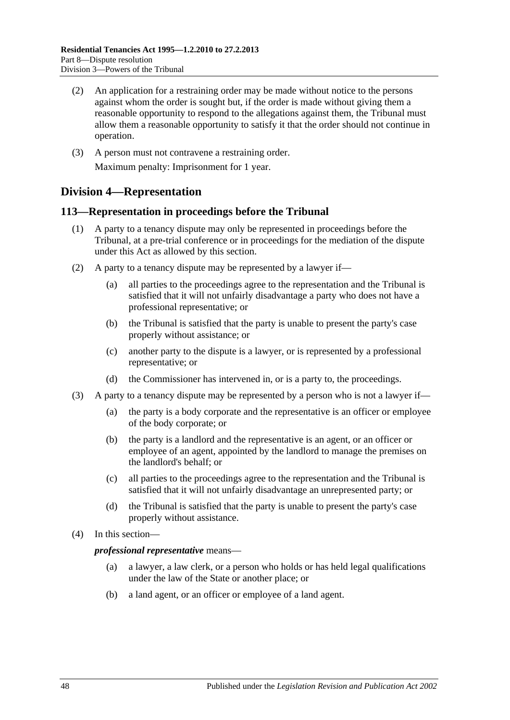- (2) An application for a restraining order may be made without notice to the persons against whom the order is sought but, if the order is made without giving them a reasonable opportunity to respond to the allegations against them, the Tribunal must allow them a reasonable opportunity to satisfy it that the order should not continue in operation.
- (3) A person must not contravene a restraining order. Maximum penalty: Imprisonment for 1 year.

## <span id="page-47-0"></span>**Division 4—Representation**

## <span id="page-47-1"></span>**113—Representation in proceedings before the Tribunal**

- (1) A party to a tenancy dispute may only be represented in proceedings before the Tribunal, at a pre-trial conference or in proceedings for the mediation of the dispute under this Act as allowed by this section.
- (2) A party to a tenancy dispute may be represented by a lawyer if—
	- (a) all parties to the proceedings agree to the representation and the Tribunal is satisfied that it will not unfairly disadvantage a party who does not have a professional representative; or
	- (b) the Tribunal is satisfied that the party is unable to present the party's case properly without assistance; or
	- (c) another party to the dispute is a lawyer, or is represented by a professional representative; or
	- (d) the Commissioner has intervened in, or is a party to, the proceedings.
- (3) A party to a tenancy dispute may be represented by a person who is not a lawyer if—
	- (a) the party is a body corporate and the representative is an officer or employee of the body corporate; or
	- (b) the party is a landlord and the representative is an agent, or an officer or employee of an agent, appointed by the landlord to manage the premises on the landlord's behalf; or
	- (c) all parties to the proceedings agree to the representation and the Tribunal is satisfied that it will not unfairly disadvantage an unrepresented party; or
	- (d) the Tribunal is satisfied that the party is unable to present the party's case properly without assistance.
- (4) In this section—

#### *professional representative* means—

- (a) a lawyer, a law clerk, or a person who holds or has held legal qualifications under the law of the State or another place; or
- (b) a land agent, or an officer or employee of a land agent.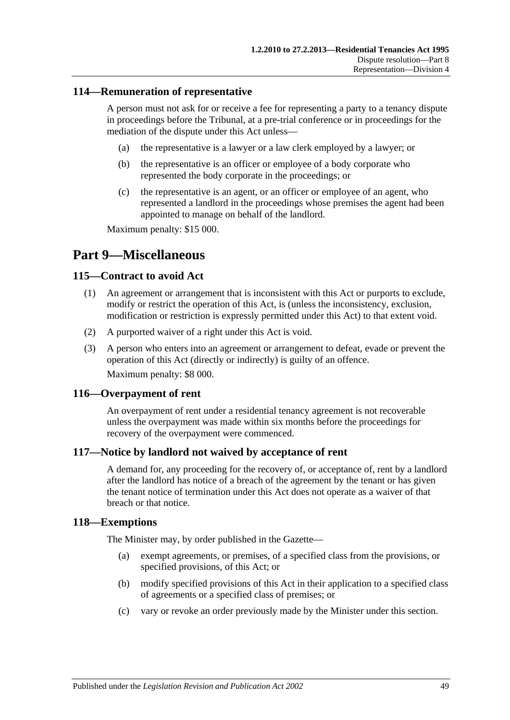#### <span id="page-48-0"></span>**114—Remuneration of representative**

A person must not ask for or receive a fee for representing a party to a tenancy dispute in proceedings before the Tribunal, at a pre-trial conference or in proceedings for the mediation of the dispute under this Act unless—

- (a) the representative is a lawyer or a law clerk employed by a lawyer; or
- (b) the representative is an officer or employee of a body corporate who represented the body corporate in the proceedings; or
- (c) the representative is an agent, or an officer or employee of an agent, who represented a landlord in the proceedings whose premises the agent had been appointed to manage on behalf of the landlord.

Maximum penalty: \$15 000.

## <span id="page-48-1"></span>**Part 9—Miscellaneous**

#### <span id="page-48-2"></span>**115—Contract to avoid Act**

- (1) An agreement or arrangement that is inconsistent with this Act or purports to exclude, modify or restrict the operation of this Act, is (unless the inconsistency, exclusion, modification or restriction is expressly permitted under this Act) to that extent void.
- (2) A purported waiver of a right under this Act is void.
- (3) A person who enters into an agreement or arrangement to defeat, evade or prevent the operation of this Act (directly or indirectly) is guilty of an offence.

Maximum penalty: \$8 000.

#### <span id="page-48-3"></span>**116—Overpayment of rent**

An overpayment of rent under a residential tenancy agreement is not recoverable unless the overpayment was made within six months before the proceedings for recovery of the overpayment were commenced.

#### <span id="page-48-4"></span>**117—Notice by landlord not waived by acceptance of rent**

A demand for, any proceeding for the recovery of, or acceptance of, rent by a landlord after the landlord has notice of a breach of the agreement by the tenant or has given the tenant notice of termination under this Act does not operate as a waiver of that breach or that notice.

#### <span id="page-48-5"></span>**118—Exemptions**

The Minister may, by order published in the Gazette—

- (a) exempt agreements, or premises, of a specified class from the provisions, or specified provisions, of this Act; or
- (b) modify specified provisions of this Act in their application to a specified class of agreements or a specified class of premises; or
- (c) vary or revoke an order previously made by the Minister under this section.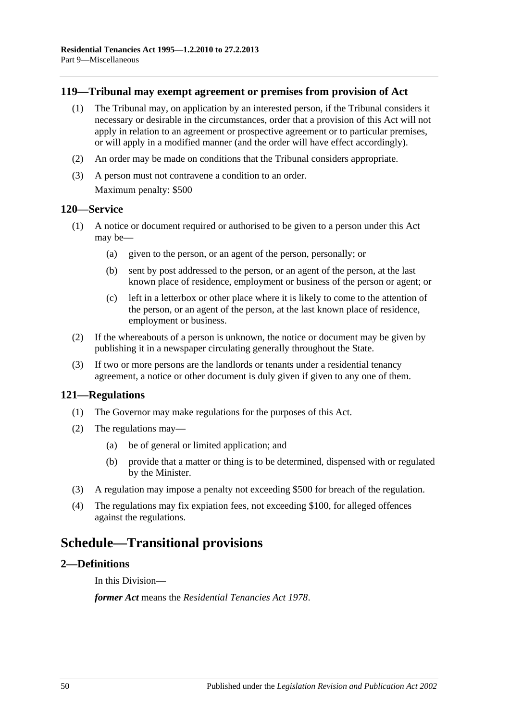#### <span id="page-49-0"></span>**119—Tribunal may exempt agreement or premises from provision of Act**

- (1) The Tribunal may, on application by an interested person, if the Tribunal considers it necessary or desirable in the circumstances, order that a provision of this Act will not apply in relation to an agreement or prospective agreement or to particular premises, or will apply in a modified manner (and the order will have effect accordingly).
- (2) An order may be made on conditions that the Tribunal considers appropriate.
- (3) A person must not contravene a condition to an order. Maximum penalty: \$500

#### <span id="page-49-1"></span>**120—Service**

- (1) A notice or document required or authorised to be given to a person under this Act may be—
	- (a) given to the person, or an agent of the person, personally; or
	- (b) sent by post addressed to the person, or an agent of the person, at the last known place of residence, employment or business of the person or agent; or
	- (c) left in a letterbox or other place where it is likely to come to the attention of the person, or an agent of the person, at the last known place of residence, employment or business.
- (2) If the whereabouts of a person is unknown, the notice or document may be given by publishing it in a newspaper circulating generally throughout the State.
- (3) If two or more persons are the landlords or tenants under a residential tenancy agreement, a notice or other document is duly given if given to any one of them.

#### <span id="page-49-2"></span>**121—Regulations**

- (1) The Governor may make regulations for the purposes of this Act.
- (2) The regulations may—
	- (a) be of general or limited application; and
	- (b) provide that a matter or thing is to be determined, dispensed with or regulated by the Minister.
- (3) A regulation may impose a penalty not exceeding \$500 for breach of the regulation.
- (4) The regulations may fix expiation fees, not exceeding \$100, for alleged offences against the regulations.

## <span id="page-49-3"></span>**Schedule—Transitional provisions**

#### <span id="page-49-4"></span>**2—Definitions**

In this Division—

*former Act* means the *[Residential Tenancies Act](http://www.legislation.sa.gov.au/index.aspx?action=legref&type=act&legtitle=Residential%20Tenancies%20Act%201978) 1978*.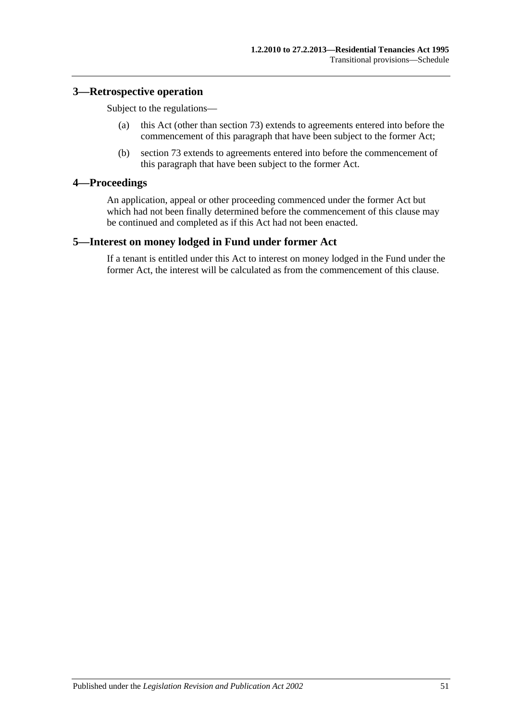#### <span id="page-50-0"></span>**3—Retrospective operation**

Subject to the regulations—

- (a) this Act (other than [section](#page-31-1) 73) extends to agreements entered into before the commencement of this paragraph that have been subject to the former Act;
- (b) [section](#page-31-1) 73 extends to agreements entered into before the commencement of this paragraph that have been subject to the former Act.

## <span id="page-50-1"></span>**4—Proceedings**

An application, appeal or other proceeding commenced under the former Act but which had not been finally determined before the commencement of this clause may be continued and completed as if this Act had not been enacted.

#### <span id="page-50-2"></span>**5—Interest on money lodged in Fund under former Act**

If a tenant is entitled under this Act to interest on money lodged in the Fund under the former Act, the interest will be calculated as from the commencement of this clause.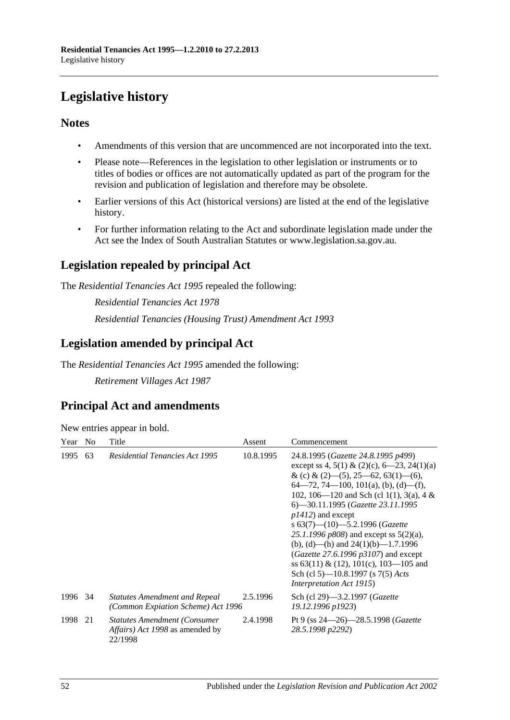# <span id="page-51-0"></span>**Legislative history**

## **Notes**

- Amendments of this version that are uncommenced are not incorporated into the text.
- Please note—References in the legislation to other legislation or instruments or to titles of bodies or offices are not automatically updated as part of the program for the revision and publication of legislation and therefore may be obsolete.
- Earlier versions of this Act (historical versions) are listed at the end of the legislative history.
- For further information relating to the Act and subordinate legislation made under the Act see the Index of South Australian Statutes or www.legislation.sa.gov.au.

## **Legislation repealed by principal Act**

The *Residential Tenancies Act 1995* repealed the following:

*Residential Tenancies Act 1978 Residential Tenancies (Housing Trust) Amendment Act 1993*

## **Legislation amended by principal Act**

The *Residential Tenancies Act 1995* amended the following:

*Retirement Villages Act 1987*

## **Principal Act and amendments**

| New entries appear in bold. |  |  |  |  |  |
|-----------------------------|--|--|--|--|--|
|-----------------------------|--|--|--|--|--|

| Year    | N <sub>0</sub> | Title                                                                             | Assent    | Commencement                                                                                                                                                                                                                                                                                                                                                                                                                                                                                                                                                                              |
|---------|----------------|-----------------------------------------------------------------------------------|-----------|-------------------------------------------------------------------------------------------------------------------------------------------------------------------------------------------------------------------------------------------------------------------------------------------------------------------------------------------------------------------------------------------------------------------------------------------------------------------------------------------------------------------------------------------------------------------------------------------|
| 1995    | 63             | <b>Residential Tenancies Act 1995</b>                                             | 10.8.1995 | 24.8.1995 (Gazette 24.8.1995 p499)<br>except ss 4, 5(1) & (2)(c), $6-23$ , 24(1)(a)<br>& (c) & (2)–(5), 25–62, 63(1)–(6),<br>$64 - 72$ , 74 - 100, 101(a), (b), (d) - (f),<br>102, 106—120 and Sch (cl 1(1), 3(a), 4 &<br>6—30.11.1995 (Gazette 23.11.1995<br>$p1412$ ) and except<br>s $63(7)$ — $(10)$ —5.2.1996 (Gazette<br>25.1.1996 $p808$ ) and except ss $5(2)(a)$ ,<br>(b), (d)—(h) and $24(1)(b)$ —1.7.1996<br>( <i>Gazette</i> 27.6.1996 $p3107$ ) and except<br>ss 63(11) & (12), 101(c), 103—105 and<br>Sch (cl 5)—10.8.1997 (s 7(5) Acts<br><i>Interpretation Act 1915</i> ) |
| 1996 34 |                | <b>Statutes Amendment and Repeal</b><br>(Common Expiation Scheme) Act 1996        | 2.5.1996  | Sch (cl 29)—3.2.1997 ( <i>Gazette</i><br>19.12.1996 p1923)                                                                                                                                                                                                                                                                                                                                                                                                                                                                                                                                |
| 1998    | 21             | <b>Statutes Amendment (Consumer</b><br>Affairs) Act 1998 as amended by<br>22/1998 | 2.4.1998  | Pt 9 (ss $24 - 26$ ) - 28.5.1998 ( <i>Gazette</i><br>28.5.1998 p2292)                                                                                                                                                                                                                                                                                                                                                                                                                                                                                                                     |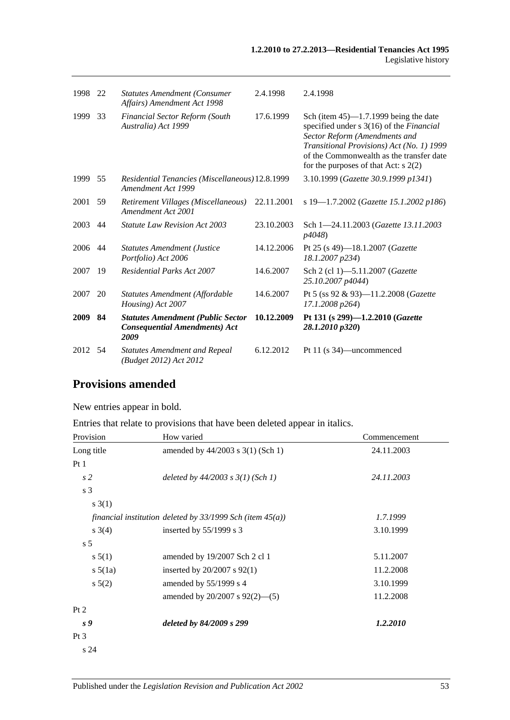| 1998    | 22 | <b>Statutes Amendment (Consumer</b><br>Affairs) Amendment Act 1998                       | 2.4.1998   | 2.4.1998                                                                                                                                                                                                                                                 |
|---------|----|------------------------------------------------------------------------------------------|------------|----------------------------------------------------------------------------------------------------------------------------------------------------------------------------------------------------------------------------------------------------------|
| 1999    | 33 | <b>Financial Sector Reform (South</b><br>Australia) Act 1999                             | 17.6.1999  | Sch (item $45$ )—1.7.1999 being the date<br>specified under s 3(16) of the Financial<br>Sector Reform (Amendments and<br>Transitional Provisions) Act (No. 1) 1999<br>of the Commonwealth as the transfer date<br>for the purposes of that Act: $s$ 2(2) |
| 1999 55 |    | Residential Tenancies (Miscellaneous) 12.8.1999<br>Amendment Act 1999                    |            | 3.10.1999 (Gazette 30.9.1999 p1341)                                                                                                                                                                                                                      |
| 2001    | 59 | Retirement Villages (Miscellaneous)<br>Amendment Act 2001                                | 22.11.2001 | s 19-1.7.2002 (Gazette 15.1.2002 p186)                                                                                                                                                                                                                   |
| 2003    | 44 | <i>Statute Law Revision Act 2003</i>                                                     | 23.10.2003 | Sch 1-24.11.2003 ( <i>Gazette 13.11.2003</i><br><i>p4048</i> )                                                                                                                                                                                           |
| 2006 44 |    | <b>Statutes Amendment (Justice</b><br>Portfolio) Act 2006                                | 14.12.2006 | Pt 25 (s 49)-18.1.2007 (Gazette<br>18.1.2007 p234)                                                                                                                                                                                                       |
| 2007    | 19 | <b>Residential Parks Act 2007</b>                                                        | 14.6.2007  | Sch 2 (cl 1)-5.11.2007 (Gazette<br>25.10.2007 p4044)                                                                                                                                                                                                     |
| 2007    | 20 | <b>Statutes Amendment (Affordable</b><br>Housing) Act 2007                               | 14.6.2007  | Pt 5 (ss 92 & 93)-11.2.2008 (Gazette<br>17.1.2008 p264)                                                                                                                                                                                                  |
| 2009 84 |    | <b>Statutes Amendment (Public Sector</b><br><b>Consequential Amendments) Act</b><br>2009 | 10.12.2009 | Pt 131 (s 299)-1.2.2010 (Gazette<br>28.1.2010 p320)                                                                                                                                                                                                      |
| 2012    | 54 | <b>Statutes Amendment and Repeal</b><br>(Budget 2012) Act 2012                           | 6.12.2012  | Pt 11 (s 34)—uncommenced                                                                                                                                                                                                                                 |

## **Provisions amended**

New entries appear in bold.

Entries that relate to provisions that have been deleted appear in italics.

| Provision      | How varied                                                     | Commencement |
|----------------|----------------------------------------------------------------|--------------|
| Long title     | amended by $44/2003$ s 3(1) (Sch 1)                            | 24.11.2003   |
| Pt1            |                                                                |              |
| s <sub>2</sub> | deleted by $44/2003$ s $3(1)$ (Sch 1)                          | 24.11.2003   |
| s 3            |                                                                |              |
| s(3(1))        |                                                                |              |
|                | financial institution deleted by $33/1999$ Sch (item $45(a)$ ) | 1.7.1999     |
| $s \; 3(4)$    | inserted by $55/1999$ s 3                                      | 3.10.1999    |
| s <sub>5</sub> |                                                                |              |
| s 5(1)         | amended by 19/2007 Sch 2 cl 1                                  | 5.11.2007    |
| $s\,5(1a)$     | inserted by $20/2007$ s $92(1)$                                | 11.2.2008    |
| $s\ 5(2)$      | amended by 55/1999 s 4                                         | 3.10.1999    |
|                | amended by $20/2007$ s $92(2)$ —(5)                            | 11.2.2008    |
| Pt 2           |                                                                |              |
| s <sub>9</sub> | deleted by 84/2009 s 299                                       | 1.2.2010     |
| $Pt\,3$        |                                                                |              |
| s24            |                                                                |              |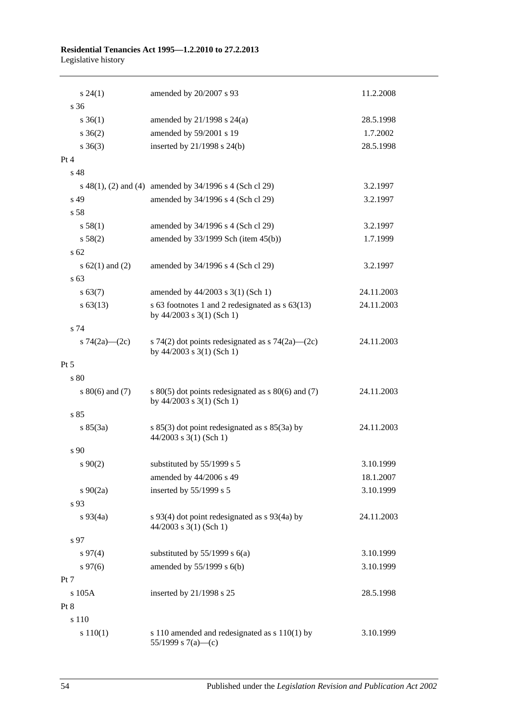#### **Residential Tenancies Act 1995—1.2.2010 to 27.2.2013** Legislative history

| $s\,24(1)$          | amended by 20/2007 s 93                                                             | 11.2.2008  |
|---------------------|-------------------------------------------------------------------------------------|------------|
| s <sub>36</sub>     |                                                                                     |            |
| $s \; 36(1)$        | amended by $21/1998$ s $24(a)$                                                      | 28.5.1998  |
| $s \; 36(2)$        | amended by 59/2001 s 19                                                             | 1.7.2002   |
| $s \; 36(3)$        | inserted by 21/1998 s 24(b)                                                         | 28.5.1998  |
| Pt 4                |                                                                                     |            |
| s <sub>48</sub>     |                                                                                     |            |
|                     | s $48(1)$ , (2) and (4) amended by $34/1996$ s 4 (Sch cl 29)                        | 3.2.1997   |
| s 49                | amended by 34/1996 s 4 (Sch cl 29)                                                  | 3.2.1997   |
| s 58                |                                                                                     |            |
| s 58(1)             | amended by 34/1996 s 4 (Sch cl 29)                                                  | 3.2.1997   |
| s 58(2)             | amended by $33/1999$ Sch (item $45(b)$ )                                            | 1.7.1999   |
| s <sub>62</sub>     |                                                                                     |            |
| s $62(1)$ and $(2)$ | amended by 34/1996 s 4 (Sch cl 29)                                                  | 3.2.1997   |
| s 63                |                                                                                     |            |
| s 63(7)             | amended by 44/2003 s 3(1) (Sch 1)                                                   | 24.11.2003 |
| $s\,63(13)$         | s 63 footnotes 1 and 2 redesignated as s 63(13)<br>by $44/2003$ s $3(1)$ (Sch 1)    | 24.11.2003 |
| s 74                |                                                                                     |            |
| s $74(2a)$ (2c)     | s 74(2) dot points redesignated as s 74(2a)—(2c)<br>by $44/2003$ s $3(1)$ (Sch 1)   | 24.11.2003 |
| Pt 5                |                                                                                     |            |
| s 80                |                                                                                     |            |
| s $80(6)$ and $(7)$ | s $80(5)$ dot points redesignated as s $80(6)$ and (7)<br>by 44/2003 s 3(1) (Sch 1) | 24.11.2003 |
| s85                 |                                                                                     |            |
| s 85(3a)            | s $85(3)$ dot point redesignated as s $85(3a)$ by<br>$44/2003$ s 3(1) (Sch 1)       | 24.11.2003 |
| s 90                |                                                                                     |            |
| $s\,90(2)$          | substituted by 55/1999 s 5                                                          | 3.10.1999  |
|                     | amended by 44/2006 s 49                                                             | 18.1.2007  |
| $s \ 90(2a)$        | inserted by 55/1999 s 5                                                             | 3.10.1999  |
| s 93                |                                                                                     |            |
| $s\,93(4a)$         | s 93(4) dot point redesignated as s 93(4a) by<br>$44/2003$ s 3(1) (Sch 1)           | 24.11.2003 |
| s 97                |                                                                                     |            |
| s 97(4)             | substituted by $55/1999$ s $6(a)$                                                   | 3.10.1999  |
| $s\,97(6)$          | amended by 55/1999 s 6(b)                                                           | 3.10.1999  |
| Pt 7                |                                                                                     |            |
| s 105A              | inserted by 21/1998 s 25                                                            | 28.5.1998  |
| Pt 8                |                                                                                     |            |
| s 110               |                                                                                     |            |
| s 110(1)            | s 110 amended and redesignated as s 110(1) by<br>55/1999 s $7(a)$ —(c)              | 3.10.1999  |